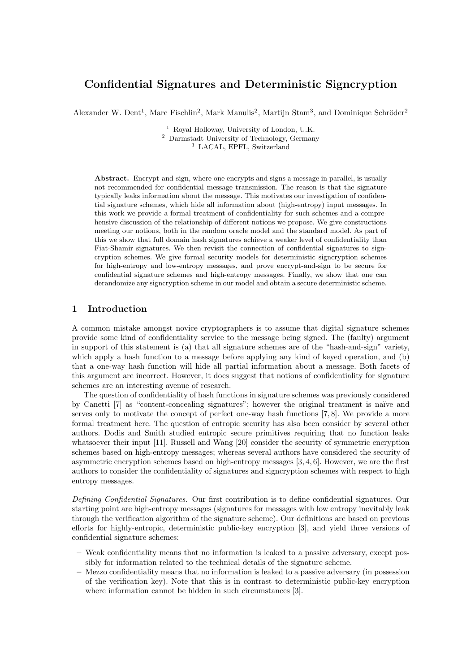# Confidential Signatures and Deterministic Signcryption

Alexander W. Dent<sup>1</sup>, Marc Fischlin<sup>2</sup>, Mark Manulis<sup>2</sup>, Martijn Stam<sup>3</sup>, and Dominique Schröder<sup>2</sup>

<sup>1</sup> Royal Holloway, University of London, U.K. <sup>2</sup> Darmstadt University of Technology, Germany <sup>3</sup> LACAL, EPFL, Switzerland

Abstract. Encrypt-and-sign, where one encrypts and signs a message in parallel, is usually not recommended for confidential message transmission. The reason is that the signature typically leaks information about the message. This motivates our investigation of confidential signature schemes, which hide all information about (high-entropy) input messages. In this work we provide a formal treatment of confidentiality for such schemes and a comprehensive discussion of the relationship of different notions we propose. We give constructions meeting our notions, both in the random oracle model and the standard model. As part of this we show that full domain hash signatures achieve a weaker level of confidentiality than Fiat-Shamir signatures. We then revisit the connection of confidential signatures to signcryption schemes. We give formal security models for deterministic signcryption schemes for high-entropy and low-entropy messages, and prove encrypt-and-sign to be secure for confidential signature schemes and high-entropy messages. Finally, we show that one can derandomize any signcryption scheme in our model and obtain a secure deterministic scheme.

## 1 Introduction

A common mistake amongst novice cryptographers is to assume that digital signature schemes provide some kind of confidentiality service to the message being signed. The (faulty) argument in support of this statement is (a) that all signature schemes are of the "hash-and-sign" variety, which apply a hash function to a message before applying any kind of keyed operation, and (b) that a one-way hash function will hide all partial information about a message. Both facets of this argument are incorrect. However, it does suggest that notions of confidentiality for signature schemes are an interesting avenue of research.

The question of confidentiality of hash functions in signature schemes was previously considered by Canetti [7] as "content-concealing signatures"; however the original treatment is na¨ıve and serves only to motivate the concept of perfect one-way hash functions [7, 8]. We provide a more formal treatment here. The question of entropic security has also been consider by several other authors. Dodis and Smith studied entropic secure primitives requiring that no function leaks whatsoever their input [11]. Russell and Wang [20] consider the security of symmetric encryption schemes based on high-entropy messages; whereas several authors have considered the security of asymmetric encryption schemes based on high-entropy messages [3, 4, 6]. However, we are the first authors to consider the confidentiality of signatures and signcryption schemes with respect to high entropy messages.

Defining Confidential Signatures. Our first contribution is to define confidential signatures. Our starting point are high-entropy messages (signatures for messages with low entropy inevitably leak through the verification algorithm of the signature scheme). Our definitions are based on previous efforts for highly-entropic, deterministic public-key encryption [3], and yield three versions of confidential signature schemes:

- Weak confidentiality means that no information is leaked to a passive adversary, except possibly for information related to the technical details of the signature scheme.
- Mezzo confidentiality means that no information is leaked to a passive adversary (in possession of the verification key). Note that this is in contrast to deterministic public-key encryption where information cannot be hidden in such circumstances [3].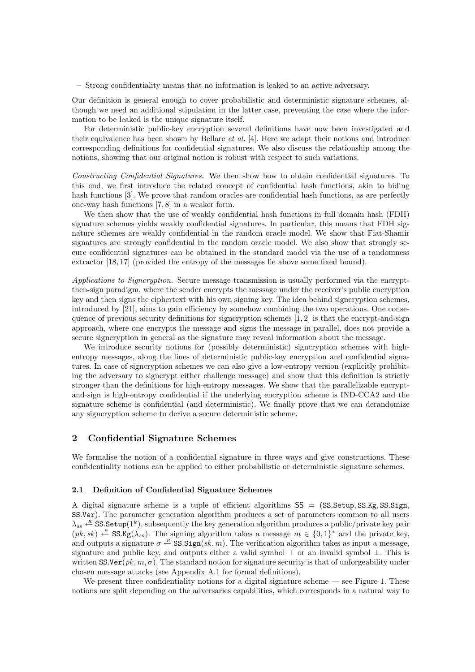– Strong confidentiality means that no information is leaked to an active adversary.

Our definition is general enough to cover probabilistic and deterministic signature schemes, although we need an additional stipulation in the latter case, preventing the case where the information to be leaked is the unique signature itself.

For deterministic public-key encryption several definitions have now been investigated and their equivalence has been shown by Bellare et al. [4]. Here we adapt their notions and introduce corresponding definitions for confidential signatures. We also discuss the relationship among the notions, showing that our original notion is robust with respect to such variations.

Constructing Confidential Signatures. We then show how to obtain confidential signatures. To this end, we first introduce the related concept of confidential hash functions, akin to hiding hash functions [3]. We prove that random oracles are confidential hash functions, as are perfectly one-way hash functions [7, 8] in a weaker form.

We then show that the use of weakly confidential hash functions in full domain hash (FDH) signature schemes yields weakly confidential signatures. In particular, this means that FDH signature schemes are weakly confidential in the random oracle model. We show that Fiat-Shamir signatures are strongly confidential in the random oracle model. We also show that strongly secure confidential signatures can be obtained in the standard model via the use of a randomness extractor [18, 17] (provided the entropy of the messages lie above some fixed bound).

Applications to Signcryption. Secure message transmission is usually performed via the encryptthen-sign paradigm, where the sender encrypts the message under the receiver's public encryption key and then signs the ciphertext with his own signing key. The idea behind signcryption schemes, introduced by [21], aims to gain efficiency by somehow combining the two operations. One consequence of previous security definitions for signcryption schemes  $[1, 2]$  is that the encrypt-and-sign approach, where one encrypts the message and signs the message in parallel, does not provide a secure signcryption in general as the signature may reveal information about the message.

We introduce security notions for (possibly deterministic) signcryption schemes with highentropy messages, along the lines of deterministic public-key encryption and confidential signatures. In case of signcryption schemes we can also give a low-entropy version (explicitly prohibiting the adversary to signcrypt either challenge message) and show that this definition is strictly stronger than the definitions for high-entropy messages. We show that the parallelizable encryptand-sign is high-entropy confidential if the underlying encryption scheme is IND-CCA2 and the signature scheme is confidential (and deterministic). We finally prove that we can derandomize any signcryption scheme to derive a secure deterministic scheme.

### 2 Confidential Signature Schemes

We formalise the notion of a confidential signature in three ways and give constructions. These confidentiality notions can be applied to either probabilistic or deterministic signature schemes.

#### 2.1 Definition of Confidential Signature Schemes

A digital signature scheme is a tuple of efficient algorithms  $SS = (SS. Setup, SS. Kg, SS. Sign,$ SS.Ver). The parameter generation algorithm produces a set of parameters common to all users  $\lambda_{ss} \leftarrow \texttt{SS}\texttt{Setup}(1^k)$ , subsequently the key generation algorithm produces a public/private key pair  $(pk, sk) \leftarrow R$  SS.Kg( $\lambda_{ss}$ ). The signing algorithm takes a message  $m \in \{0, 1\}^*$  and the private key, and outputs a signature  $\sigma \stackrel{R}{\leftarrow} \text{SS}.Sign(k, m)$ . The verification algorithm takes as input a message, signature and public key, and outputs either a valid symbol  $\top$  or an invalid symbol  $\bot$ . This is written SS.Ver( $pk, m, \sigma$ ). The standard notion for signature security is that of unforgeability under chosen message attacks (see Appendix A.1 for formal definitions).

We present three confidentiality notions for a digital signature scheme  $\sim$  see Figure 1. These notions are split depending on the adversaries capabilities, which corresponds in a natural way to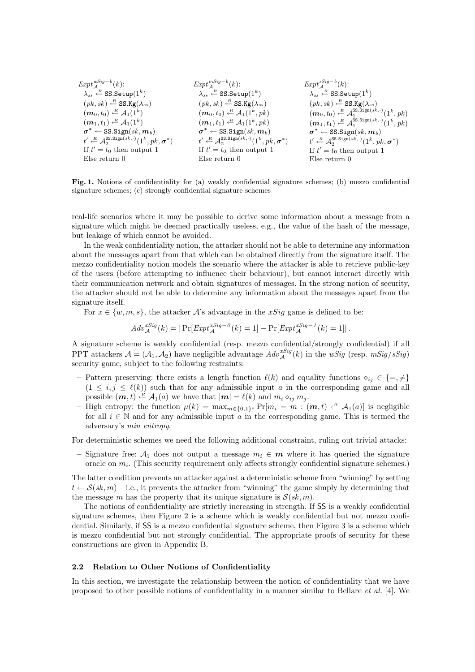| $Expt^{wSig-b}_{A}(k)$ :                                             | $Expt^{mSig-b}_{A}(k)$ :                                                                  | $Expt^{sSig-b}_{A}(k)$ :                                                                  |
|----------------------------------------------------------------------|-------------------------------------------------------------------------------------------|-------------------------------------------------------------------------------------------|
| $\lambda_{ss} \stackrel{R}{\leftarrow}$ SS. Setup $(1^k)$            | $\lambda_{ss} \stackrel{R}{\leftarrow}$ SS. Setup $(1^k)$                                 | $\lambda_{ss} \stackrel{R}{\leftarrow}$ SS. Setup $(1^k)$                                 |
| $(pk, sk) \stackrel{R}{\leftarrow}$ SS.Kg( $\lambda_{ss}$ )          | $(pk, sk) \stackrel{R}{\leftarrow}$ SS.Kg( $\lambda_{ss}$ )                               | $(pk, sk) \stackrel{R}{\leftarrow}$ SS.Kg( $\lambda_{ss}$ )                               |
| $(\boldsymbol{m}_0,t_0) \stackrel{R}{\leftarrow} \mathcal{A}_1(1^k)$ | $(m_0, t_0) \stackrel{R}{\leftarrow} \mathcal{A}_1(1^k, pk)$                              | $(m_0, t_0) \stackrel{R}{\leftarrow} \mathcal{A}_1^{\text{SS.Sign}(sk, \cdot)}(1^k, pk)$  |
| $(m_1,t_1) \stackrel{R}{\leftarrow} \mathcal{A}_1(1^k)$              | $(m_1, t_1) \stackrel{R}{\leftarrow} \mathcal{A}_1(1^k, pk)$                              | $(m_1, t_1) \leftarrow R$ $\mathcal{A}_1^{\text{SS.Sign}(sk, \cdot)}(1^k, pk)$            |
| $\sigma^* \leftarrow \texttt{SS.Sign}(sk, m_b)$                      | $\sigma^* \leftarrow \texttt{SS.Sign}(sk, m_b)$                                           | $\sigma^* \leftarrow \texttt{SS.Sign}(sk, m_b)$                                           |
| $t' \leftarrow A_2^{\text{SS.Sign}(sk,.)}(1^k, pk, \sigma^*)$        | $t' \stackrel{R}{\leftarrow} \mathcal{A}_2^{\text{SS.Sign}(sk,\cdot)}(1^k, pk, \sigma^*)$ | $t' \stackrel{R}{\leftarrow} \mathcal{A}_2^{\text{SS.Sign}(sk,\cdot)}(1^k, pk, \sigma^*)$ |
| If $t' = t_0$ then output 1                                          | If $t' = t_0$ then output 1                                                               | If $t' = t_0$ then output 1                                                               |
| $E$ lse return $0$                                                   | $E$ lse return $0$                                                                        | $E$ lse return $0$                                                                        |

Fig. 1. Notions of confidentiality for (a) weakly confidential signature schemes; (b) mezzo confidential signature schemes; (c) strongly confidential signature schemes

real-life scenarios where it may be possible to derive some information about a message from a signature which might be deemed practically useless, e.g., the value of the hash of the message, but leakage of which cannot be avoided.

In the weak confidentiality notion, the attacker should not be able to determine any information about the messages apart from that which can be obtained directly from the signature itself. The mezzo confidentiality notion models the scenario where the attacker is able to retrieve public-key of the users (before attempting to influence their behaviour), but cannot interact directly with their communication network and obtain signatures of messages. In the strong notion of security, the attacker should not be able to determine any information about the messages apart from the signature itself.

For  $x \in \{w, m, s\}$ , the attacker A's advantage in the xSig game is defined to be:

$$
Adv_{\mathcal{A}}^{xSig}(k) = |\Pr[Exp t_{\mathcal{A}}^{xSig - \theta}(k) = 1] - \Pr[Exp t_{\mathcal{A}}^{xSig - 1}(k) = 1]|.
$$

A signature scheme is weakly confidential (resp. mezzo confidential/strongly confidential) if all PPT attackers  $A = (A_1, A_2)$  have negligible advantage  $Adv_{\mathcal{A}}^{xSig}(k)$  in the wSig (resp.  $mSig/sSig$ ) security game, subject to the following restraints:

- Pattern preserving: there exists a length function  $\ell(k)$  and equality functions  $\diamond_{ij} \in \{=, \neq\}$  $(1 \leq i, j \leq \ell(k))$  such that for any admissible input a in the corresponding game and all possible  $(m, t) \stackrel{R}{\leftarrow} \mathcal{A}_1(a)$  we have that  $|m| = \ell(k)$  and  $m_i \diamond_{ij} m_j$ .
- High entropy: the function  $\mu(k) = \max_{m \in \{0,1\}^*} Pr[m_i = m : (m, t) \leftarrow R A_1(a)]$  is negligible for all  $i \in \mathbb{N}$  and for any admissible input a in the corresponding game. This is termed the adversary's min entropy.

For deterministic schemes we need the following additional constraint, ruling out trivial attacks:

– Signature free:  $A_1$  does not output a message  $m_i \in \mathbf{m}$  where it has queried the signature oracle on  $m_i$ . (This security requirement only affects strongly confidential signature schemes.)

The latter condition prevents an attacker against a deterministic scheme from "winning" by setting  $t \leftarrow \mathcal{S}(sk,m) - i.e.,$  it prevents the attacker from "winning" the game simply by determining that the message m has the property that its unique signature is  $S(sk, m)$ .

The notions of confidentiality are strictly increasing in strength. If SS is a weakly confidential signature schemes, then Figure 2 is a scheme which is weakly confidential but not mezzo confidential. Similarly, if SS is a mezzo confidential signature scheme, then Figure 3 is a scheme which is mezzo confidential but not strongly confidential. The appropriate proofs of security for these constructions are given in Appendix B.

### 2.2 Relation to Other Notions of Confidentiality

In this section, we investigate the relationship between the notion of confidentiality that we have proposed to other possible notions of confidentiality in a manner similar to Bellare et al. [4]. We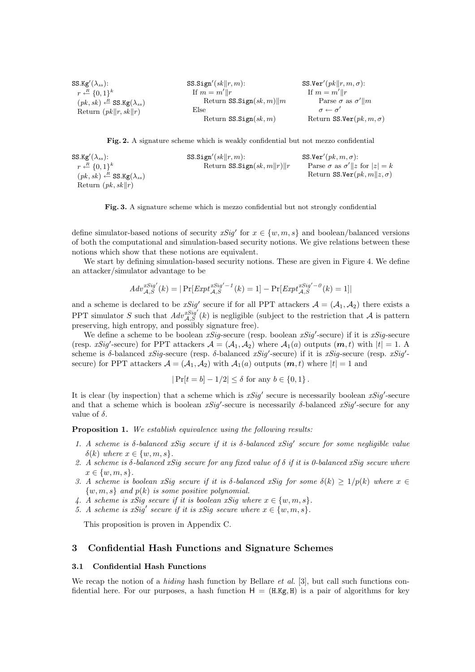| SS.Kg'( $\lambda_{ss}$ ):                                   | SS.Sign'(sk  r, m):          | SS.Ver' $(\textit{pk}  r, m, \sigma)$ : |
|-------------------------------------------------------------|------------------------------|-----------------------------------------|
| $r \leftarrow R \{0,1\}^k$                                  | If $m = m'  r$               | If $m = m'  r$                          |
| $(pk, sk) \stackrel{R}{\leftarrow}$ SS.Kg( $\lambda_{ss}$ ) | Return $SS. Sign(sk, m)$   m | Parse $\sigma$ as $\sigma'$   m         |
| Return $(\rho k  r, sk  r)$                                 | Else                         | $\sigma \leftarrow \sigma'$             |
|                                                             | Return $SS. Sign(sk, m)$     | Return SS.Ver $(pk, m, \sigma)$         |

Fig. 2. A signature scheme which is weakly confidential but not mezzo confidential

SS.Kg'( $\lambda_{ss}$ ):  $r \stackrel{R}{\leftarrow} \{0,1\}^k$  $(pk, sk) \stackrel{R}{\leftarrow}$  SS.Kg( $\lambda_{ss}$ ) Return  $(pk, sk||r)$ SS.Sign'( $sk$ || $r, m$ ): Return SS.Sign $(sk, m||r)$ SS.Ver' $(pk, m, \sigma)$ : Parse  $\sigma$  as  $\sigma' || z$  for  $|z| = k$ Return SS.Ver $(pk, m||z, \sigma)$ 

Fig. 3. A signature scheme which is mezzo confidential but not strongly confidential

define simulator-based notions of security  $xSig'$  for  $x \in \{w, m, s\}$  and boolean/balanced versions of both the computational and simulation-based security notions. We give relations between these notions which show that these notions are equivalent.

We start by defining simulation-based security notions. These are given in Figure 4. We define an attacker/simulator advantage to be

$$
Adv_{\mathcal{A},S}^{xSig'}(k) = |\Pr[Exp t_{\mathcal{A},S}^{xSig'-1}(k) = 1] - \Pr[Exp t_{\mathcal{A},S}^{xSig'-0}(k) = 1]|
$$

and a scheme is declared to be  $xSig'$  secure if for all PPT attackers  $\mathcal{A} = (\mathcal{A}_1, \mathcal{A}_2)$  there exists a PPT simulator S such that  $Adv_{\mathcal{A},S}^{Sig'}(k)$  is negligible (subject to the restriction that A is pattern preserving, high entropy, and possibly signature free).

We define a scheme to be boolean  $xSig$ -secure (resp. boolean  $xSig$ -secure) if it is  $xSig$ -secure (resp. xSig'-secure) for PPT attackers  $\mathcal{A} = (\mathcal{A}_1, \mathcal{A}_2)$  where  $\mathcal{A}_1(a)$  outputs  $(m, t)$  with  $|t| = 1$ . A scheme is δ-balanced xSig-secure (resp. δ-balanced xSig'-secure) if it is xSig-secure (resp. xSig'secure) for PPT attackers  $\mathcal{A} = (\mathcal{A}_1, \mathcal{A}_2)$  with  $\mathcal{A}_1(a)$  outputs  $(m, t)$  where  $|t| = 1$  and

$$
|\Pr[t = b] - 1/2| \le \delta
$$
 for any  $b \in \{0, 1\}$ .

It is clear (by inspection) that a scheme which is  $xSig'$  secure is necessarily boolean  $xSig'$ -secure and that a scheme which is boolean  $xSig'$ -secure is necessarily  $\delta$ -balanced  $xSig'$ -secure for any value of  $\delta$ .

Proposition 1. We establish equivalence using the following results:

- 1. A scheme is  $\delta$ -balanced xSig secure if it is  $\delta$ -balanced xSig' secure for some negligible value  $\delta(k)$  where  $x \in \{w, m, s\}.$
- 2. A scheme is  $\delta$ -balanced xSig secure for any fixed value of  $\delta$  if it is 0-balanced xSig secure where  $x \in \{w, m, s\}.$
- 3. A scheme is boolean xSig secure if it is  $\delta$ -balanced xSig for some  $\delta(k) \geq 1/p(k)$  where  $x \in$  $\{w, m, s\}$  and  $p(k)$  is some positive polynomial.
- 4. A scheme is xSig secure if it is boolean xSig where  $x \in \{w, m, s\}$ .
- 5. A scheme is xSig' secure if it is xSig secure where  $x \in \{w, m, s\}$ .

This proposition is proven in Appendix C.

## 3 Confidential Hash Functions and Signature Schemes

### 3.1 Confidential Hash Functions

We recap the notion of a *hiding* hash function by Bellare *et al.* [3], but call such functions confidential here. For our purposes, a hash function  $H = (H \cdot Kg, H)$  is a pair of algorithms for key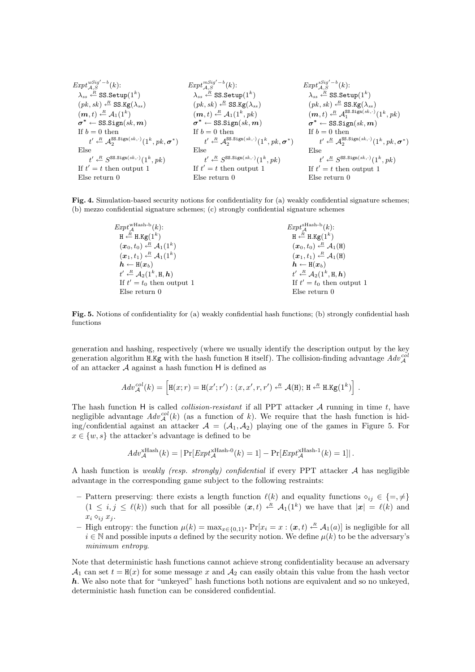| Expt $\lim_{A,S}$ | Expt $\lim_{A,S}$ | Expt $\lim_{A,S}$ | Expt $\lim_{A,S}$ | Expt $\lim_{A,S}$ | Expt $\lim_{A,S}$ | Expt $\lim_{A,S}$ | Expt $\lim_{A,S}$ | Expt $\lim_{A,S}$ | Expt $\lim_{A,S}$ | Expt $\lim_{A,S}$ | Expt $\lim_{A,S}$ | Expt $\lim_{A,S}$ | Expt $\lim_{A,S}$ | Expt $\lim_{A,S}$ | Expt $\lim_{A,S}$ | Expt $\lim_{A,S}$ | Expt $\lim_{A,S}$ | Expt $\lim_{A,S}$ | Expt $\lim_{A,S}$ | Expt $\lim_{A,S}$ | Expt $\lim_{A,S}$ | Expt $\lim_{A,S}$ | Expt $\lim_{A,S}$ | Expt $\lim_{A,S}$ | Expt $\lim_{A,S}$ | Expt $\lim_{A,S}$ | Expt $\lim_{A,S}$ | Expt $\lim_{A,S}$ | Expt $\lim_{A,S}$ | Expt $\lim_{A,S}$ | Expt $\lim_{A,S}$ | Expt $\lim_{A,S}$ | Expt $\lim_{A,S}$ | Expt $\lim_{A,S}$ | Expt $\lim_{A,S}$ | Expt $\lim_{A,S}$ | Expt $\lim_{A,S}$ | Expt $\lim_{A,S}$ | Expt $\lim_{A,S}$ | Expt $\lim_{A,S}$ | Expt $\lim_{A,S}$ | Expt $\lim_{A,S}$ | Expt $\lim_{A,S}$ | Expt $\lim$ |
|-------------------|-------------------|-------------------|-------------------|-------------------|-------------------|-------------------|-------------------|-------------------|-------------------|-------------------|-------------------|-------------------|-------------------|-------------------|-------------------|-------------------|-------------------|-------------------|-------------------|-------------------|-------------------|-------------------|-------------------|-------------------|-------------------|-------------------|-------------------|-------------------|-------------------|-------------------|-------------------|-------------------|-------------------|-------------------|-------------------|-------------------|-------------------|-------------------|-------------------|-------------------|-------------------|-------------------|-------------------|-------------|
|-------------------|-------------------|-------------------|-------------------|-------------------|-------------------|-------------------|-------------------|-------------------|-------------------|-------------------|-------------------|-------------------|-------------------|-------------------|-------------------|-------------------|-------------------|-------------------|-------------------|-------------------|-------------------|-------------------|-------------------|-------------------|-------------------|-------------------|-------------------|-------------------|-------------------|-------------------|-------------------|-------------------|-------------------|-------------------|-------------------|-------------------|-------------------|-------------------|-------------------|-------------------|-------------------|-------------------|-------------------|-------------|

Fig. 4. Simulation-based security notions for confidentiality for (a) weakly confidential signature schemes; (b) mezzo confidential signature schemes; (c) strongly confidential signature schemes

| $Expt_A^{\text{wHash-b}}(k)$ :                                           | $Expt_A^{\text{sHash-b}}(k)$ :                                               |
|--------------------------------------------------------------------------|------------------------------------------------------------------------------|
| $H \stackrel{R}{\leftarrow} H.Kg(1^k)$                                   | $H \stackrel{R}{\leftarrow} H.Kg(1^k)$                                       |
| $(\boldsymbol{x}_0, t_0) \stackrel{R}{\leftarrow} \mathcal{A}_1(1^k)$    | $(\boldsymbol{x}_0, t_0) \stackrel{R}{\leftarrow} \mathcal{A}_1(\mathbf{H})$ |
| $(\boldsymbol{x}_1, t_1) \leftarrow^R \mathcal{A}_1(1^k)$                | $(\boldsymbol{x}_1,t_1) \stackrel{R}{\leftarrow} \mathcal{A}_1(H)$           |
| $\boldsymbol{h} \leftarrow \texttt{H}(\boldsymbol{x}_b)$                 | $h \leftarrow H(x_h)$                                                        |
| $t' \stackrel{R}{\leftarrow} \mathcal{A}_2(1^k, \mathbf{H}, \mathbf{h})$ | $t' \stackrel{R}{\leftarrow} \mathcal{A}_2(1^k, H, h)$                       |
| If $t' = t_0$ then output 1                                              | If $t' = t_0$ then output 1                                                  |
| $E$ lse return $0$                                                       | $E$ lse return 0                                                             |

Fig. 5. Notions of confidentiality for (a) weakly confidential hash functions; (b) strongly confidential hash functions

generation and hashing, respectively (where we usually identify the description output by the key generation algorithm H.Kg with the hash function H itself). The collision-finding advantage  $Adv_{\mathcal{A}}^{col}$ of an attacker A against a hash function H is defined as

$$
Adv_{\mathcal{A}}^{col}(k) = \left[\mathbf{H}(x;r) = \mathbf{H}(x';r'): (x,x',r,r') \stackrel{\textit{R}}{\leftarrow} \mathcal{A}(\mathbf{H}); \mathbf{H} \stackrel{\textit{R}}{\leftarrow} \mathbf{H}.\mathbf{Kg}(1^k)\right].
$$

The hash function H is called *collision-resistant* if all PPT attacker  $A$  running in time  $t$ , have negligible advantage  $Adv_{\mathcal{A}}^{col}(k)$  (as a function of k). We require that the hash function is hiding/confidential against an attacker  $A = (A_1, A_2)$  playing one of the games in Figure 5. For  $x \in \{w, s\}$  the attacker's advantage is defined to be

$$
Adv_{\mathcal{A}}^{\times \text{Hash}}(k) = |\Pr[Exp_{\mathcal{A}}^{\times \text{Hash-0}}(k) = 1] - \Pr[Exp_{\mathcal{A}}^{\times \text{Hash-1}}(k) = 1]|.
$$

A hash function is weakly (resp. strongly) confidential if every PPT attacker  $A$  has negligible advantage in the corresponding game subject to the following restraints:

- Pattern preserving: there exists a length function  $\ell(k)$  and equality functions  $\diamond_{ij} \in \{=, \neq\}$  $(1 \leq i, j \leq \ell(k))$  such that for all possible  $(x, t) \leftarrow R$   $\mathcal{A}_1(1^k)$  we have that  $|x| = \ell(k)$  and  $x_i \diamond_{ij} x_j$ .
- High entropy: the function  $\mu(k) = \max_{x \in \{0,1\}^*} \Pr[x_i = x : (x, t) \stackrel{R}{\leftarrow} \mathcal{A}_1(a)]$  is negligible for all  $i \in \mathbb{N}$  and possible inputs a defined by the security notion. We define  $\mu(k)$  to be the adversary's minimum entropy.

Note that deterministic hash functions cannot achieve strong confidentiality because an adversary  $A_1$  can set  $t = H(x)$  for some message x and  $A_2$  can easily obtain this value from the hash vector h. We also note that for "unkeyed" hash functions both notions are equivalent and so no unkeyed, deterministic hash function can be considered confidential.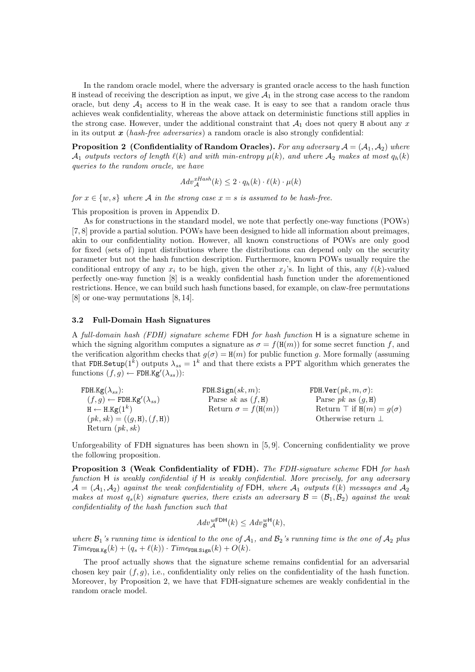In the random oracle model, where the adversary is granted oracle access to the hash function H instead of receiving the description as input, we give  $A_1$  in the strong case access to the random oracle, but deny  $A_1$  access to H in the weak case. It is easy to see that a random oracle thus achieves weak confidentiality, whereas the above attack on deterministic functions still applies in the strong case. However, under the additional constraint that  $A_1$  does not query H about any x in its output  $x$  (hash-free adversaries) a random oracle is also strongly confidential:

**Proposition 2** (Confidentiality of Random Oracles). For any adversary  $A = (A_1, A_2)$  where  $\mathcal{A}_1$  outputs vectors of length  $\ell(k)$  and with min-entropy  $\mu(k)$ , and where  $\mathcal{A}_2$  makes at most  $q_h(k)$ queries to the random oracle, we have

$$
Adv_{\mathcal{A}}^{Hash}(k) \le 2 \cdot q_h(k) \cdot \ell(k) \cdot \mu(k)
$$

for  $x \in \{w, s\}$  where A in the strong case  $x = s$  is assumed to be hash-free.

This proposition is proven in Appendix D.

As for constructions in the standard model, we note that perfectly one-way functions (POWs) [7, 8] provide a partial solution. POWs have been designed to hide all information about preimages, akin to our confidentiality notion. However, all known constructions of POWs are only good for fixed (sets of) input distributions where the distributions can depend only on the security parameter but not the hash function description. Furthermore, known POWs usually require the conditional entropy of any  $x_i$  to be high, given the other  $x_j$ 's. In light of this, any  $\ell(k)$ -valued perfectly one-way function [8] is a weakly confidential hash function under the aforementioned restrictions. Hence, we can build such hash functions based, for example, on claw-free permutations [8] or one-way permutations [8, 14].

### 3.2 Full-Domain Hash Signatures

A full-domain hash (FDH) signature scheme FDH for hash function H is a signature scheme in which the signing algorithm computes a signature as  $\sigma = f(H(m))$  for some secret function f, and the verification algorithm checks that  $g(\sigma) = H(m)$  for public function g. More formally (assuming that FDH.Setup(1<sup>k</sup>) outputs  $\lambda_{ss} = 1^k$  and that there exists a PPT algorithm which generates the functions  $(f, g) \leftarrow \text{FDH.Kg}'(\lambda_{ss})$ :

| FDH.Kg( $\lambda_{ss}$ ):                        | FDH.Sign $(sk, m)$ :      | FDH.Ver $(pk, m, \sigma)$ :         |
|--------------------------------------------------|---------------------------|-------------------------------------|
| $(f, g) \leftarrow \text{FDH.Kg}'(\lambda_{ss})$ | Parse sk as $(f, H)$      | Parse <i>pk</i> as $(q, H)$         |
| $H \leftarrow H.Kg(1^k)$                         | Return $\sigma = f(H(m))$ | Return $\top$ if $H(m) = g(\sigma)$ |
| $(pk, sk) = ((g, H), (f, H))$                    |                           | Otherwise return $\perp$            |
| Return $(pk, sk)$                                |                           |                                     |

Unforgeability of FDH signatures has been shown in [5, 9]. Concerning confidentiality we prove the following proposition.

Proposition 3 (Weak Confidentiality of FDH). The FDH-signature scheme FDH for hash function H is weakly confidential if H is weakly confidential. More precisely, for any adversary  $\mathcal{A} = (\mathcal{A}_1, \mathcal{A}_2)$  against the weak confidentiality of FDH, where  $\mathcal{A}_1$  outputs  $\ell(k)$  messages and  $\mathcal{A}_2$ makes at most  $q_s(k)$  signature queries, there exists an adversary  $\mathcal{B} = (\mathcal{B}_1, \mathcal{B}_2)$  against the weak confidentiality of the hash function such that

$$
Adv_{\mathcal{A}}^{wFDH}(k) \leq Adv_{\mathcal{B}}^{wH}(k),
$$

where  $\mathcal{B}_1$ 's running time is identical to the one of  $\mathcal{A}_1$ , and  $\mathcal{B}_2$ 's running time is the one of  $\mathcal{A}_2$  plus  $Time_{\text{FDH.Kg}}(k) + (q_s + \ell(k)) \cdot Time_{\text{FDH.Sign}}(k) + O(k).$ 

The proof actually shows that the signature scheme remains confidential for an adversarial chosen key pair  $(f, g)$ , i.e., confidentiality only relies on the confidentiality of the hash function. Moreover, by Proposition 2, we have that FDH-signature schemes are weakly confidential in the random oracle model.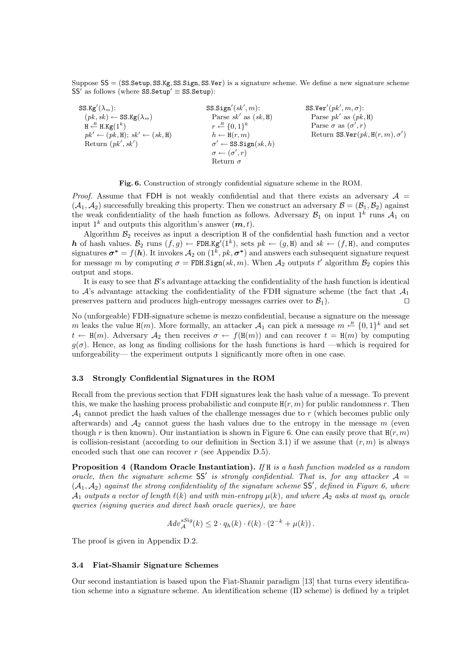Suppose SS = (SS.Setup, SS.Kg, SS.Sign, SS.Ver) is a signature scheme. We define a new signature scheme SS' as follows (where  $SS.$  Setup'  $\equiv$  SS. Setup):

SS.Kg'( $\lambda_{ss}$ ):  $(pk, sk) \leftarrow$  SS.Kg( $\lambda_{ss}$ )  $H \stackrel{R}{\longleftarrow} H.Kg(1^k)$  $pk' \leftarrow (pk, H); sk' \leftarrow (sk, H)$ Return  $(pk', sk')$  $SS.Sign'(sk', m)$ : Parse  $sk'$  as  $(sk, H)$  $r \stackrel{R}{\leftarrow} \{0,1\}^k$  $h \leftarrow H(r, m)$  $\sigma' \leftarrow \texttt{SS.Sign}(sk, h)$  $\sigma \leftarrow (\sigma', r)$ Return  $\sigma$ SS.Ver' $(pk', m, \sigma)$ : Parse  $pk'$  as  $(pk, H)$ Parse  $\sigma$  as  $(\sigma', r)$ Return SS.Ver $(\mathit{pk}, H(r, m), \sigma')$ 



*Proof.* Assume that FDH is not weakly confidential and that there exists an adversary  $A =$  $(\mathcal{A}_1, \mathcal{A}_2)$  successfully breaking this property. Then we construct an adversary  $\mathcal{B} = (\mathcal{B}_1, \mathcal{B}_2)$  against the weak confidentiality of the hash function as follows. Adversary  $\mathcal{B}_1$  on input  $1^k$  runs  $\mathcal{A}_1$  on input  $1^k$  and outputs this algorithm's answer  $(m, t)$ .

Algorithm  $\mathcal{B}_2$  receives as input a description H of the confidential hash function and a vector h of hash values.  $\mathcal{B}_2$  runs  $(f, g) \leftarrow \text{FDH.Kg}'(1^k)$ , sets  $pk \leftarrow (g, H)$  and  $sk \leftarrow (f, H)$ , and computes signatures  $\sigma^* = f(h)$ . It invokes  $\mathcal{A}_2$  on  $(1^k, pk, \sigma^*)$  and answers each subsequent signature request for message m by computing  $\sigma = \text{FDH}.\text{Sign}(sk, m)$ . When  $\mathcal{A}_2$  outputs t' algorithm  $\mathcal{B}_2$  copies this output and stops.

It is easy to see that  $\mathcal{B}'$ 's advantage attacking the confidentiality of the hash function is identical to  $\mathcal{A}$ 's advantage attacking the confidentiality of the FDH signature scheme (the fact that  $\mathcal{A}_1$ preserves pattern and produces high-entropy messages carries over to  $\mathcal{B}_1$ ).

No (unforgeable) FDH-signature scheme is mezzo confidential, because a signature on the message m leaks the value  $H(m)$ . More formally, an attacker  $\mathcal{A}_1$  can pick a message  $m \stackrel{R}{\leftarrow} \{0,1\}^k$  and set  $t \leftarrow H(m)$ . Adversary  $\mathcal{A}_2$  then receives  $\sigma \leftarrow f(H(m))$  and can recover  $t = H(m)$  by computing  $g(\sigma)$ . Hence, as long as finding collisions for the hash functions is hard —which is required for unforgeability— the experiment outputs 1 significantly more often in one case.

### 3.3 Strongly Confidential Signatures in the ROM

Recall from the previous section that FDH signatures leak the hash value of a message. To prevent this, we make the hashing process probabilistic and compute  $H(r, m)$  for public randomness r. Then  $\mathcal{A}_1$  cannot predict the hash values of the challenge messages due to r (which becomes public only afterwards) and  $A_2$  cannot guess the hash values due to the entropy in the message m (even though r is then known). Our instantiation is shown in Figure 6. One can easily prove that  $H(r, m)$ is collision-resistant (according to our definition in Section 3.1) if we assume that  $(r, m)$  is always encoded such that one can recover  $r$  (see Appendix D.5).

**Proposition 4 (Random Oracle Instantiation).** If  $H$  is a hash function modeled as a random oracle, then the signature scheme SS' is strongly confidential. That is, for any attacker  $A =$  $(A_1, A_2)$  against the strong confidentiality of the signature scheme SS', defined in Figure 6, where  $\mathcal{A}_1$  outputs a vector of length  $\ell(k)$  and with min-entropy  $\mu(k)$ , and where  $\mathcal{A}_2$  asks at most  $q_h$  oracle queries (signing queries and direct hash oracle queries), we have

$$
Adv_{\mathcal{A}}^{sSig}(k) \leq 2 \cdot q_h(k) \cdot \ell(k) \cdot (2^{-k} + \mu(k)).
$$

The proof is given in Appendix D.2.

### 3.4 Fiat-Shamir Signature Schemes

Our second instantiation is based upon the Fiat-Shamir paradigm [13] that turns every identification scheme into a signature scheme. An identification scheme (ID scheme) is defined by a triplet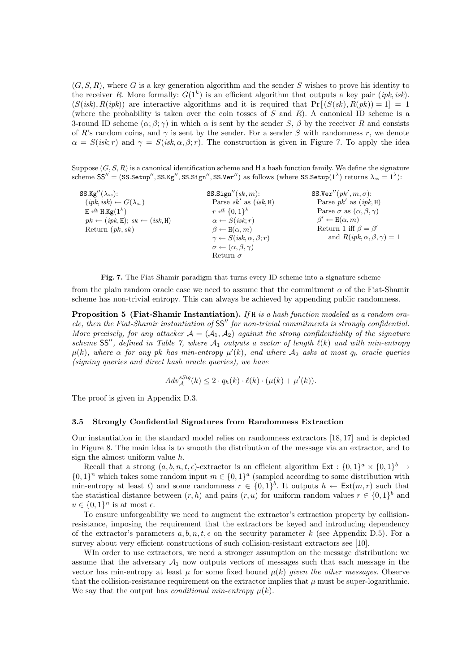$(G, S, R)$ , where G is a key generation algorithm and the sender S wishes to prove his identity to the receiver R. More formally:  $G(1^k)$  is an efficient algorithm that outputs a key pair (*ipk, isk*).  $(S(isk), R(jnk))$  are interactive algorithms and it is required that  $Pr[(S(sk), R(pk)) = 1] = 1$ (where the probability is taken over the coin tosses of  $S$  and  $R$ ). A canonical ID scheme is a 3-round ID scheme  $(\alpha; \beta; \gamma)$  in which  $\alpha$  is sent by the sender S,  $\beta$  by the receiver R and consists of R's random coins, and  $\gamma$  is sent by the sender. For a sender S with randomness r, we denote  $\alpha = S(isk; r)$  and  $\gamma = S(isk, \alpha, \beta; r)$ . The construction is given in Figure 7. To apply the idea

Suppose  $(G, S, R)$  is a canonical identification scheme and H a hash function family. We define the signature  $\text{scheme SS}'' = (\text{SS}. \text{Setup}'', \text{SS}. \text{Kg}'', \text{SS}. \text{Sign}'', \text{SS}. \text{Ver}'') \text{ as follows (where } \text{SS}. \text{Setup}(1^{\lambda}) \text{ returns } \lambda_{ss} = 1^{\lambda})$ :

| SS.Kg'' $(\lambda_{ss})$ :                       | SS. Sign''(sk,m):                            | SS.Ver" $(pk', m, \sigma)$ :                |
|--------------------------------------------------|----------------------------------------------|---------------------------------------------|
| $(ipk, isk) \leftarrow G(\lambda_{ss})$          | Parse $sk'$ as $(isk, H)$                    | Parse $pk'$ as $(ipk, H)$                   |
| $H \stackrel{R}{\leftarrow} H.Kg(1^k)$           | $r \stackrel{R}{\leftarrow} \{0,1\}^k$       | Parse $\sigma$ as $(\alpha, \beta, \gamma)$ |
| $pk \leftarrow (ipk, H); sk \leftarrow (isk, H)$ | $\alpha \leftarrow S(isk;r)$                 | $\beta' \leftarrow H(\alpha, m)$            |
| Return $(pk, sk)$                                | $\beta \leftarrow H(\alpha, m)$              | Return 1 iff $\beta = \beta'$               |
|                                                  | $\gamma \leftarrow S(isk, \alpha, \beta; r)$ | and $R(ipk, \alpha, \beta, \gamma) = 1$     |
|                                                  | $\sigma \leftarrow (\alpha, \beta, \gamma)$  |                                             |
|                                                  | Return $\sigma$                              |                                             |

Fig. 7. The Fiat-Shamir paradigm that turns every ID scheme into a signature scheme

from the plain random oracle case we need to assume that the commitment  $\alpha$  of the Fiat-Shamir scheme has non-trivial entropy. This can always be achieved by appending public randomness.

Proposition 5 (Fiat-Shamir Instantiation). If H is a hash function modeled as a random oracle, then the Fiat-Shamir instantiation of  $SS''$  for non-trivial commitments is strongly confidential. More precisely, for any attacker  $\mathcal{A} = (\mathcal{A}_1, \mathcal{A}_2)$  against the strong confidentiality of the signature scheme SS", defined in Table 7, where  $A_1$  outputs a vector of length  $\ell(k)$  and with min-entropy  $\mu(k)$ , where  $\alpha$  for any pk has min-entropy  $\mu'(k)$ , and where  $\mathcal{A}_2$  asks at most  $q_h$  oracle queries (signing queries and direct hash oracle queries), we have

$$
Adv_{\mathcal{A}}^{sSig}(k) \leq 2 \cdot q_h(k) \cdot \ell(k) \cdot (\mu(k) + \mu'(k)).
$$

The proof is given in Appendix D.3.

#### 3.5 Strongly Confidential Signatures from Randomness Extraction

Our instantiation in the standard model relies on randomness extractors [18, 17] and is depicted in Figure 8. The main idea is to smooth the distribution of the message via an extractor, and to sign the almost uniform value h.

Recall that a strong  $(a, b, n, t, \epsilon)$ -extractor is an efficient algorithm Ext :  $\{0, 1\}^a \times \{0, 1\}^b \rightarrow$  $\{0,1\}^n$  which takes some random input  $m \in \{0,1\}^a$  (sampled according to some distribution with min-entropy at least t) and some randomness  $r \in \{0,1\}^b$ . It outputs  $h \leftarrow \text{Ext}(m, r)$  such that the statistical distance between  $(r, h)$  and pairs  $(r, u)$  for uniform random values  $r \in \{0, 1\}^b$  and  $u \in \{0,1\}^n$  is at most  $\epsilon$ .

To ensure unforgeability we need to augment the extractor's extraction property by collisionresistance, imposing the requirement that the extractors be keyed and introducing dependency of the extractor's parameters  $a, b, n, t, \epsilon$  on the security parameter k (see Appendix D.5). For a survey about very efficient constructions of such collision-resistant extractors see [10].

WIn order to use extractors, we need a stronger assumption on the message distribution: we assume that the adversary  $A_1$  now outputs vectors of messages such that each message in the vector has min-entropy at least  $\mu$  for some fixed bound  $\mu(k)$  given the other messages. Observe that the collision-resistance requirement on the extractor implies that  $\mu$  must be super-logarithmic. We say that the output has *conditional min-entropy*  $\mu(k)$ .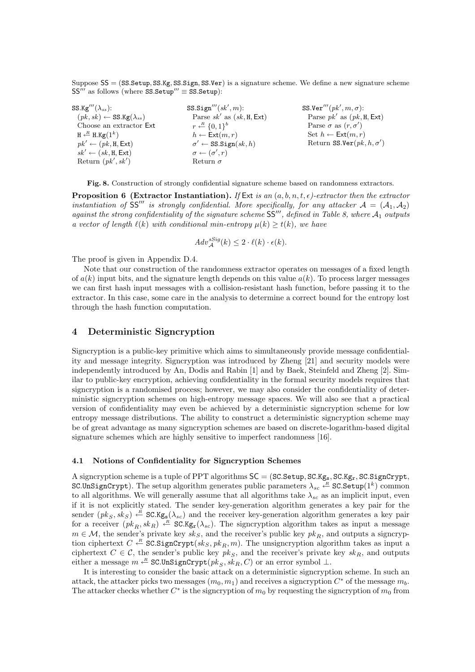Suppose SS = (SS.Setup, SS.Kg, SS.Sign, SS.Ver) is a signature scheme. We define a new signature scheme  $SS'''$  as follows (where SS.Setup<sup>00</sup> ≡ SS.Setup):

| $\texttt{SS.Kg}'''(\lambda_{ss})$ :           | $SS.$ Sign''' $(sk', m)$ :             | SS.Ver''' $(pk', m, \sigma)$ :      |
|-----------------------------------------------|----------------------------------------|-------------------------------------|
| $(pk, sk) \leftarrow$ SS.Kg( $\lambda_{ss}$ ) | Parse $sk'$ as $(sk, H, Ext)$          | Parse $pk'$ as $(pk, H, Ext)$       |
| Choose an extractor Ext                       | $r \stackrel{R}{\leftarrow} \{0,1\}^b$ | Parse $\sigma$ as $(r, \sigma')$    |
| $H \stackrel{R}{\leftarrow} H.Kg(1^k)$        | $h \leftarrow \textsf{Ext}(m, r)$      | Set $h \leftarrow \text{Ext}(m, r)$ |
| $pk' \leftarrow (pk, H, Ext)$                 | $\sigma' \leftarrow$ SS.Sign $(sk, h)$ | Return SS.Ver $(pk, h, \sigma')$    |
| $sk' \leftarrow (sk, H, Ext)$                 | $\sigma \leftarrow (\sigma', r)$       |                                     |
| Return $(pk', sk')$                           | Return $\sigma$                        |                                     |

Fig. 8. Construction of strongly confidential signature scheme based on randomness extractors.

**Proposition 6 (Extractor Instantiation).** If Ext is an  $(a, b, n, t, \epsilon)$ -extractor then the extractor instantiation of SS<sup>II</sup> is strongly confidential. More specifically, for any attacker  $A = (A_1, A_2)$ against the strong confidentiality of the signature scheme  $SS'''$ , defined in Table 8, where  $\mathcal{A}_1$  outputs a vector of length  $\ell(k)$  with conditional min-entropy  $\mu(k) \geq t(k)$ , we have

$$
Adv_{\mathcal{A}}^{sSig}(k) \leq 2 \cdot \ell(k) \cdot \epsilon(k).
$$

The proof is given in Appendix D.4.

Note that our construction of the randomness extractor operates on messages of a fixed length of  $a(k)$  input bits, and the signature length depends on this value  $a(k)$ . To process larger messages we can first hash input messages with a collision-resistant hash function, before passing it to the extractor. In this case, some care in the analysis to determine a correct bound for the entropy lost through the hash function computation.

## 4 Deterministic Signcryption

Signcryption is a public-key primitive which aims to simultaneously provide message confidentiality and message integrity. Signcryption was introduced by Zheng [21] and security models were independently introduced by An, Dodis and Rabin [1] and by Baek, Steinfeld and Zheng [2]. Similar to public-key encryption, achieving confidentiality in the formal security models requires that signcryption is a randomised process; however, we may also consider the confidentiality of deterministic signcryption schemes on high-entropy message spaces. We will also see that a practical version of confidentiality may even be achieved by a deterministic signcryption scheme for low entropy message distributions. The ability to construct a deterministic signcryption scheme may be of great advantage as many signcryption schemes are based on discrete-logarithm-based digital signature schemes which are highly sensitive to imperfect randomness [16].

#### 4.1 Notions of Confidentiality for Signcryption Schemes

A signcryption scheme is a tuple of PPT algorithms  $SC = (SC. Setup, SC. Kg<sub>s</sub>, SC. Kg<sub>r</sub>, SC. Sign Crypt,$ SC.UnSignCrypt). The setup algorithm generates public parameters  $\lambda_{sc} \stackrel{R}{\leftarrow}$  SC.Setup $(1^k)$  common to all algorithms. We will generally assume that all algorithms take  $\lambda_{sc}$  as an implicit input, even if it is not explicitly stated. The sender key-generation algorithm generates a key pair for the sender  $(pk_S, sk_S) \leftarrow R$  SC.Kg<sub>s</sub>( $\lambda_{sc}$ ) and the receiver key-generation algorithm generates a key pair for a receiver  $(pk_R, sk_R) \stackrel{\text{R}}{\leftarrow} \text{SC.Kg}_r(\lambda_{sc})$ . The signcryption algorithm takes as input a message  $m \in \mathcal{M}$ , the sender's private key  $sk_S$ , and the receiver's public key  $pk_B$ , and outputs a signcryption ciphertext  $C \stackrel{R}{\leftarrow} \text{SC.SignCrypt}(sk_S, pk_R, m)$ . The unsigncryption algorithm takes as input a ciphertext  $C \in \mathcal{C}$ , the sender's public key  $pk_S$ , and the receiver's private key  $sk_R$ , and outputs either a message  $m \stackrel{R}{\leftarrow} \texttt{SC.UnSignCrypt}(pk_S, sk_R, C)$  or an error symbol  $\perp$ .

It is interesting to consider the basic attack on a deterministic signcryption scheme. In such an attack, the attacker picks two messages  $(m_0, m_1)$  and receives a signcryption  $C^*$  of the message  $m_b$ . The attacker checks whether  $C^*$  is the signcryption of  $m_0$  by requesting the signcryption of  $m_0$  from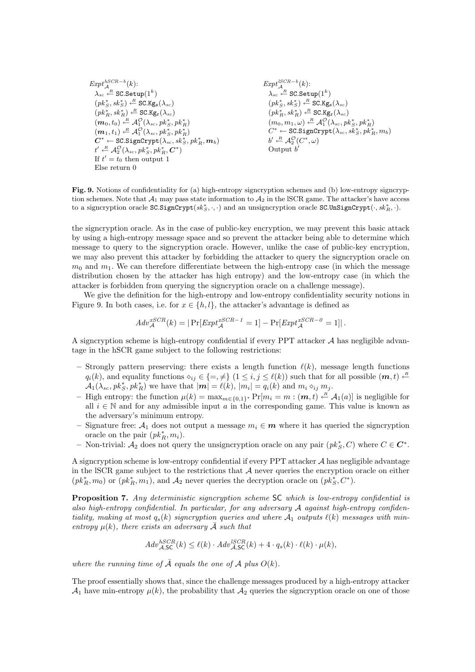$$
\begin{array}{l} \scriptstyle Exp t^{hSCR-b}_\mathcal{A}(k); \\ \lambda_{sc} \stackrel{R}{\leftarrow} \text{SC}.\text{Setup}(1^k) \\ (pk^*_S, sk^*_S) \stackrel{R}{\leftarrow} \text{SC}.\text{Kg}_\text{s}(\lambda_{sc}) \\ (pk^*_R, sk^*_R) \stackrel{R}{\leftarrow} \text{SC}.\text{Kg}_\text{r}(\lambda_{sc}) \\ (m_0, t_0) \stackrel{R}{\leftarrow} \mathcal{A}_1^O(\lambda_{sc}, pk^*_S, pk^*_R) \\ (m_1, t_1) \stackrel{R}{\leftarrow} \mathcal{A}_1^O(\lambda_{sc}, pk^*_S, pk^*_R) \\ \mathcal{C}^* \leftarrow \text{SC}.\text{SignCrypt}(\lambda_{sc}, sk^*_S, pk^*_R, m_b) \\ t' \stackrel{R}{\leftarrow} \mathcal{A}_2^O(\lambda_{sc}, pk^*_S, pk^*_R, \mathcal{C}^*) \\ \text{If } t' = t_0 \text{ then output } 1 \\ \text{Else return } 0 \end{array}
$$

$$
\begin{array}{l} \mathit{Expt}^{lSCR-b}_{\mathcal{A}}(k); \\ \lambda_{sc} \stackrel{\mathcal{A}}{\leftarrow} \texttt{SC}.\texttt{Setup}(1^k) \\ (pk^*_S, sk^*_S) \stackrel{\mathcal{A}}{\leftarrow} \texttt{SC}.\texttt{Kg}_\texttt{s}(\lambda_{sc}) \\ (pk^*_R, sk^*_R) \stackrel{\mathcal{A}}{\leftarrow} \texttt{SC}.\texttt{Kg}_\texttt{r}(\lambda_{sc}) \\ (m_0, m_1, \omega) \stackrel{\mathcal{B}}{\leftarrow} \mathcal{A}_1^O(\lambda_{sc}, pk^*_S, pk^*_R) \\ C^* \leftarrow \texttt{SC}.\texttt{SignCrypt}(\lambda_{sc}, sk^*_S, pk^*_R, m_b) \\ b' \stackrel{\mathcal{A}}{\leftarrow} \mathcal{A}_2^O(C^*, \omega) \\ \text{Output } b' \end{array}
$$

Fig. 9. Notions of confidentiality for (a) high-entropy signcryption schemes and (b) low-entropy signcryption schemes. Note that  $\mathcal{A}_1$  may pass state information to  $\mathcal{A}_2$  in the ISCR game. The attacker's have access to a signcryption oracle  $SC.SignCrypt(sk_S^*, \cdot, \cdot)$  and an unsigncryption oracle  $SCUnSignCrypt(\cdot, sk_R^*, \cdot)$ .

the signcryption oracle. As in the case of public-key encryption, we may prevent this basic attack by using a high-entropy message space and so prevent the attacker being able to determine which message to query to the signcryption oracle. However, unlike the case of public-key encryption, we may also prevent this attacker by forbidding the attacker to query the signcryption oracle on  $m_0$  and  $m_1$ . We can therefore differentiate between the high-entropy case (in which the message distribution chosen by the attacker has high entropy) and the low-entropy case (in which the attacker is forbidden from querying the signcryption oracle on a challenge message).

We give the definition for the high-entropy and low-entropy confidentiality security notions in Figure 9. In both cases, i.e. for  $x \in \{h, l\}$ , the attacker's advantage is defined as

$$
Adv_{\mathcal{A}}^{xSCR}(k) = |\Pr[Exp t_{\mathcal{A}}^{xSCR-1} = 1] - \Pr[Exp t_{\mathcal{A}}^{xSCR-0} = 1]|.
$$

A signcryption scheme is high-entropy confidential if every  $PPT$  attacker  $A$  has negligible advantage in the hSCR game subject to the following restrictions:

- Strongly pattern preserving: there exists a length function  $\ell(k)$ , message length functions  $q_i(k)$ , and equality functions  $\diamond_{ij} \in \{=, \neq\}$   $(1 \leq i, j \leq \ell(k))$  such that for all possible  $(m, t) \leftarrow$  $\mathcal{A}_1(\lambda_{sc},pk_S^*,pk_R^*)$  we have that  $|\mathbf{m}| = \ell(k)$ ,  $|m_i| = q_i(k)$  and  $m_i \diamond_{ij} m_j$ .
- High entropy: the function  $\mu(k) = \max_{m \in \{0,1\}^*} Pr[m_i = m : (m, t) \leftarrow R A_1(a)]$  is negligible for all  $i \in \mathbb{N}$  and for any admissible input a in the corresponding game. This value is known as the adversary's minimum entropy.
- Signature free:  $A_1$  does not output a message  $m_i \in \mathbf{m}$  where it has queried the signcryption oracle on the pair  $(pk<sub>R</sub><sup>*</sup>, m<sub>i</sub>)$ .
- Non-trivial:  $A_2$  does not query the unsigncryption oracle on any pair  $(pk_S^*, C)$  where  $C \in \mathbb{C}^*$ .

A signcryption scheme is low-entropy confidential if every  $PPT$  attacker  $\mathcal A$  has negligible advantage in the ISCR game subject to the restrictions that  $A$  never queries the encryption oracle on either  $(pk_R^*, m_0)$  or  $(pk_R^*, m_1)$ , and  $\mathcal{A}_2$  never queries the decryption oracle on  $(pk_S^*, C^*)$ .

Proposition 7. Any deterministic signcryption scheme SC which is low-entropy confidential is also high-entropy confidential. In particular, for any adversary  $A$  against high-entropy confidentiality, making at most  $q_s(k)$  signcryption queries and where  $\mathcal{A}_1$  outputs  $\ell(k)$  messages with minentropy  $\mu(k)$ , there exists an adversary  $\overline{A}$  such that

$$
Adv_{\mathcal{A},\mathsf{SC}}^{hSCR}(k) \le \ell(k) \cdot Adv_{\mathcal{A},\mathsf{SC}}^{lSCR}(k) + 4 \cdot q_s(k) \cdot \ell(k) \cdot \mu(k),
$$

where the running time of  $\overline{A}$  equals the one of  $A$  plus  $O(k)$ .

The proof essentially shows that, since the challenge messages produced by a high-entropy attacker  $\mathcal{A}_1$  have min-entropy  $\mu(k)$ , the probability that  $\mathcal{A}_2$  queries the signcryption oracle on one of those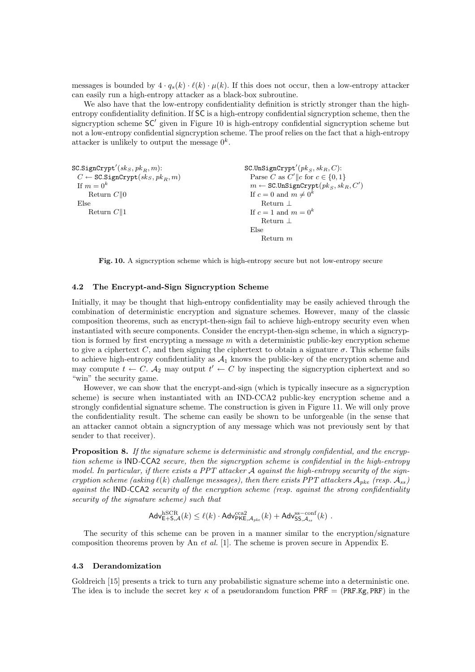messages is bounded by  $4 \cdot q_s(k) \cdot \ell(k) \cdot \mu(k)$ . If this does not occur, then a low-entropy attacker can easily run a high-entropy attacker as a black-box subroutine.

We also have that the low-entropy confidentiality definition is strictly stronger than the highentropy confidentiality definition. If SC is a high-entropy confidential signcryption scheme, then the signcryption scheme  $SC'$  given in Figure 10 is high-entropy confidential signcryption scheme but not a low-entropy confidential signcryption scheme. The proof relies on the fact that a high-entropy attacker is unlikely to output the message  $0^k$ .

```
\mathtt{SC.SignCrypt}'(sk_S, pk_R, m):
C \leftarrow \texttt{SC.SignCrypt}(sk_S, pk_R, m)If m = 0^kReturn C||0Else
    Return C||1\texttt{SC.UnSignCrypt}'(pk_S, sk_R, C):
                                                                  Parse C as C' ||c for c \in \{0, 1\}m \leftarrow \texttt{SC.UnSignCrypt}(pk_S, sk_R, C')If c = 0 and m \neq 0^kReturn ⊥
                                                                 If c = 1 and m = 0^kReturn ⊥
                                                                  Else
                                                                      Return m
```
Fig. 10. A signcryption scheme which is high-entropy secure but not low-entropy secure

### 4.2 The Encrypt-and-Sign Signcryption Scheme

Initially, it may be thought that high-entropy confidentiality may be easily achieved through the combination of deterministic encryption and signature schemes. However, many of the classic composition theorems, such as encrypt-then-sign fail to achieve high-entropy security even when instantiated with secure components. Consider the encrypt-then-sign scheme, in which a signcryption is formed by first encrypting a message  $m$  with a deterministic public-key encryption scheme to give a ciphertext C, and then signing the ciphertext to obtain a signature  $\sigma$ . This scheme fails to achieve high-entropy confidentiality as  $A_1$  knows the public-key of the encryption scheme and may compute  $t \leftarrow C$ .  $\mathcal{A}_2$  may output  $t' \leftarrow C$  by inspecting the signcryption ciphertext and so "win" the security game.

However, we can show that the encrypt-and-sign (which is typically insecure as a signcryption scheme) is secure when instantiated with an IND-CCA2 public-key encryption scheme and a strongly confidential signature scheme. The construction is given in Figure 11. We will only prove the confidentiality result. The scheme can easily be shown to be unforgeable (in the sense that an attacker cannot obtain a signcryption of any message which was not previously sent by that sender to that receiver).

Proposition 8. If the signature scheme is deterministic and strongly confidential, and the encryption scheme is IND-CCA2 secure, then the signcryption scheme is confidential in the high-entropy model. In particular, if there exists a PPT attacker A against the high-entropy security of the signcryption scheme (asking  $\ell(k)$  challenge messages), then there exists PPT attackers  $A_{pke}$  (resp.  $A_{ss}$ ) against the IND-CCA2 security of the encryption scheme (resp. against the strong confidentiality security of the signature scheme) such that

$$
\mathsf{Adv}_{\mathsf{E}+\mathsf{S},\mathcal{A}}^{\mathrm{hSCR}}(k) \leq \ell(k) \cdot \mathsf{Adv}_{\mathsf{PKE},\mathcal{A}_{pke}}^{\mathrm{cca2}}(k) + \mathsf{Adv}_{\mathsf{SS},\mathcal{A}_{ss}}^{\mathrm{ss}-\mathrm{conf}}(k) \ .
$$

The security of this scheme can be proven in a manner similar to the encryption/signature composition theorems proven by An et al. [1]. The scheme is proven secure in Appendix E.

### 4.3 Derandomization

Goldreich [15] presents a trick to turn any probabilistic signature scheme into a deterministic one. The idea is to include the secret key  $\kappa$  of a pseudorandom function PRF = (PRF.Kg, PRF) in the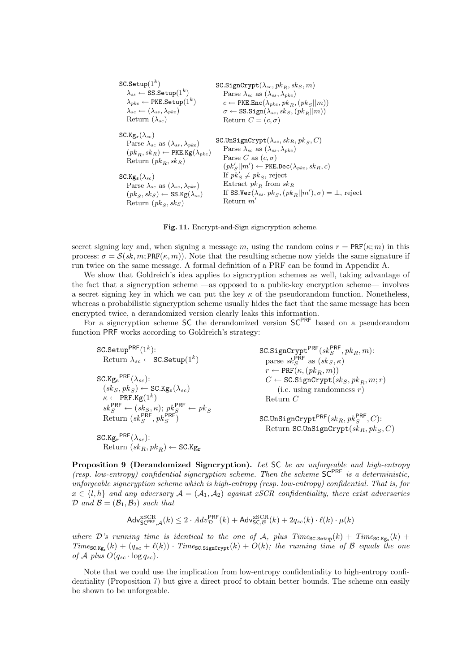| $SC.$ Setup $(1^k)$                                         | SC.SignCrypt $(\lambda_{sc}, \, pk_B, \, sk_S, \, m)$                          |
|-------------------------------------------------------------|--------------------------------------------------------------------------------|
| $\lambda_{ss} \leftarrow$ SS.Setup $(1^k)$                  | Parse $\lambda_{sc}$ as $(\lambda_{ss}, \lambda_{nke})$                        |
| $\lambda_{pke} \leftarrow \texttt{PKE}.\texttt{Setup}(1^k)$ | $c \leftarrow \text{PKE}.\text{Enc}(\lambda_{nke}, p k_{B}, (p k_{S}    m))$   |
| $\lambda_{sc} \leftarrow (\lambda_{ss}, \lambda_{nke})$     | $\sigma \leftarrow$ SS. Sign $(\lambda_{ss}, sk_S, (pk_B  m))$                 |
| Return $(\lambda_{sc})$                                     | Return $C = (c, \sigma)$                                                       |
| $SC.Kg_r(\lambda_{sc})$                                     | SC.UnSignCrypt $(\lambda_{sc}, sk_B, pk_S, C)$                                 |
| Parse $\lambda_{sc}$ as $(\lambda_{ss}, \lambda_{nke})$     | Parse $\lambda_{sc}$ as $(\lambda_{ss}, \lambda_{pke})$                        |
| $(pk_B, sk_B) \leftarrow \text{PKE.Kg}(\lambda_{nke})$      | Parse C as $(c, \sigma)$                                                       |
| Return $(pk_B, sk_B)$                                       | $(pk'_{S}  m') \leftarrow \text{PKE.Dec}(\lambda_{nke}, sk_B, c)$              |
| $SC.Kg_s(\lambda_{sc})$                                     | If $pk'_{S} \neq pk_{S}$ , reject                                              |
| Parse $\lambda_{sc}$ as $(\lambda_{ss}, \lambda_{nke})$     | Extract $pk_B$ from $sk_B$                                                     |
| $(pk_S, sk_S) \leftarrow$ SS.Kg( $\lambda_{ss}$ )           | If SS.Ver( $\lambda_{ss}$ , $pk_S$ , $(pk_B  m'), \sigma$ ) = $\perp$ , reject |
| Return $(pk_S, sk_S)$                                       | Return $m'$                                                                    |

Fig. 11. Encrypt-and-Sign signcryption scheme.

secret signing key and, when signing a message m, using the random coins  $r = PRF(\kappa; m)$  in this process:  $\sigma = \mathcal{S}(sk, m; \text{PRF}(\kappa, m))$ . Note that the resulting scheme now yields the same signature if run twice on the same message. A formal definition of a PRF can be found in Appendix A.

We show that Goldreich's idea applies to signcryption schemes as well, taking advantage of the fact that a signcryption scheme —as opposed to a public-key encryption scheme— involves a secret signing key in which we can put the key  $\kappa$  of the pseudorandom function. Nonetheless, whereas a probabilistic signcryption scheme usually hides the fact that the same message has been encrypted twice, a derandomized version clearly leaks this information.

For a signcryption scheme SC the derandomized version  $SC^{PRF}$  based on a pseudorandom function PRF works according to Goldreich's strategy:

| SC.Setup <sup>PRF</sup> $(1^k)$ :                                                    | SC.SignCrypt <sup>PRF</sup> $(s k_S^{\text{PRF}}, p k_B, m)$ : |
|--------------------------------------------------------------------------------------|----------------------------------------------------------------|
| Return $\lambda_{sc} \leftarrow$ SC. Setup $(1^k)$                                   | parse $sk_S^{\text{PRF}}$ as $(sk_S, \kappa)$                  |
|                                                                                      | $r \leftarrow \text{PRF}(\kappa, (pk_B, m))$                   |
| SC.Kg <sub>s</sub> <sup>PRF</sup> $(\lambda_{sc})$ :                                 | $C \leftarrow \text{SC.SignCrypt}(sk_S, pk_B, m; r)$           |
| $(s k_S, p k_S) \leftarrow$ SC.Kg <sub>s</sub> ( $\lambda_{sc}$ )                    | (i.e. using randomness $r$ )                                   |
| $\kappa \leftarrow$ PRF.Kg $(1^k)$                                                   | Return $C$                                                     |
| $sk_S^{\text{PRF}} \leftarrow (sk_S, \kappa); \ p k_S^{\text{PRF}} \leftarrow p k_S$ |                                                                |
| Return $(sk_S^{\text{PRF}}, p k_S^{\text{PRF}})$                                     | SC.UnSignCrypt <sup>PRF</sup> $(sk_B, pk_S^{\text{PRF}}, C)$ : |
|                                                                                      | Return SC.UnSignCrypt $(sk_R, pk_S, C)$                        |
| SC.Kg <sub>r</sub> <sup>PRF</sup> $(\lambda_{sc})$ :                                 |                                                                |
| Return $(sk_R, pk_B) \leftarrow$ SC.Kg <sub>r</sub>                                  |                                                                |

Proposition 9 (Derandomized Signcryption). Let SC be an unforgeable and high-entropy (resp. low-entropy) confidential signcryption scheme. Then the scheme  $SC^{PRF}$  is a deterministic, unforgeable signcryption scheme which is high-entropy (resp. low-entropy) confidential. That is, for  $x \in \{l, h\}$  and any adversary  $\mathcal{A} = (\mathcal{A}_1, \mathcal{A}_2)$  against xSCR confidentiality, there exist adversaries  $\mathcal{D}$  and  $\mathcal{B} = (\mathcal{B}_1, \mathcal{B}_2)$  such that

$$
\mathsf{Adv}_{\mathsf{SC}^{\mathsf{PRF}},\mathcal{A}}^{\mathrm{xSCR}}(k) \leq 2 \cdot \mathsf{Adv}_{\mathcal{D}}^{\mathsf{PRF}}(k) + \mathsf{Adv}_{\mathsf{SC},\mathcal{B}}^{\mathrm{xSCR}}(k) + 2q_{sc}(k) \cdot \ell(k) \cdot \mu(k)
$$

where D's running time is identical to the one of A, plus  $Time_{SC.Setup}(k) + Time_{SC.Kg_s}(k) +$  $Time_{SC.Kg_r}(k) + (q_{sc} + \ell(k)) \cdot Time_{SC.SignCrypt}(k) + O(k);$  the running time of B equals the one of A plus  $O(q_{sc} \cdot \log q_{sc})$ .

Note that we could use the implication from low-entropy confidentiality to high-entropy confidentiality (Proposition 7) but give a direct proof to obtain better bounds. The scheme can easily be shown to be unforgeable.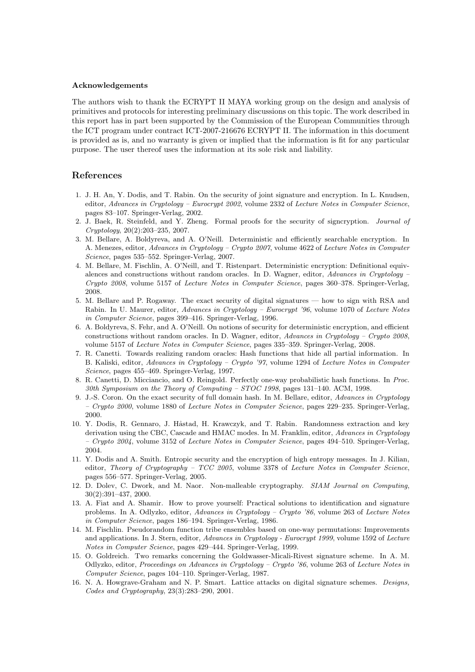### Acknowledgements

The authors wish to thank the ECRYPT II MAYA working group on the design and analysis of primitives and protocols for interesting preliminary discussions on this topic. The work described in this report has in part been supported by the Commission of the European Communities through the ICT program under contract ICT-2007-216676 ECRYPT II. The information in this document is provided as is, and no warranty is given or implied that the information is fit for any particular purpose. The user thereof uses the information at its sole risk and liability.

## References

- 1. J. H. An, Y. Dodis, and T. Rabin. On the security of joint signature and encryption. In L. Knudsen, editor, Advances in Cryptology – Eurocrypt 2002, volume 2332 of Lecture Notes in Computer Science, pages 83–107. Springer-Verlag, 2002.
- 2. J. Baek, R. Steinfeld, and Y. Zheng. Formal proofs for the security of signcryption. Journal of Cryptology, 20(2):203–235, 2007.
- 3. M. Bellare, A. Boldyreva, and A. O'Neill. Deterministic and efficiently searchable encryption. In A. Menezes, editor, Advances in Cryptology – Crypto 2007, volume 4622 of Lecture Notes in Computer Science, pages 535–552. Springer-Verlag, 2007.
- 4. M. Bellare, M. Fischlin, A. O'Neill, and T. Ristenpart. Deterministic encryption: Definitional equivalences and constructions without random oracles. In D. Wagner, editor, Advances in Cryptology – Crypto 2008, volume 5157 of Lecture Notes in Computer Science, pages 360–378. Springer-Verlag, 2008.
- 5. M. Bellare and P. Rogaway. The exact security of digital signatures how to sign with RSA and Rabin. In U. Maurer, editor, Advances in Cryptology - Eurocrypt '96, volume 1070 of Lecture Notes in Computer Science, pages 399–416. Springer-Verlag, 1996.
- 6. A. Boldyreva, S. Fehr, and A. O'Neill. On notions of security for deterministic encryption, and efficient constructions without random oracles. In D. Wagner, editor, Advances in Cryptology – Crypto 2008, volume 5157 of Lecture Notes in Computer Science, pages 335–359. Springer-Verlag, 2008.
- 7. R. Canetti. Towards realizing random oracles: Hash functions that hide all partial information. In B. Kaliski, editor, Advances in Cryptology – Crypto '97, volume 1294 of Lecture Notes in Computer Science, pages 455–469. Springer-Verlag, 1997.
- 8. R. Canetti, D. Micciancio, and O. Reingold. Perfectly one-way probabilistic hash functions. In Proc. 30th Symposium on the Theory of Computing – STOC 1998, pages 131–140. ACM, 1998.
- 9. J.-S. Coron. On the exact security of full domain hash. In M. Bellare, editor, Advances in Cryptology – Crypto 2000, volume 1880 of Lecture Notes in Computer Science, pages 229–235. Springer-Verlag, 2000.
- 10. Y. Dodis, R. Gennaro, J. Håstad, H. Krawczyk, and T. Rabin. Randomness extraction and key derivation using the CBC, Cascade and HMAC modes. In M. Franklin, editor, Advances in Cryptology  $-$  Crypto 2004, volume 3152 of Lecture Notes in Computer Science, pages 494–510. Springer-Verlag, 2004.
- 11. Y. Dodis and A. Smith. Entropic security and the encryption of high entropy messages. In J. Kilian, editor, Theory of Cryptography –  $TCC$  2005, volume 3378 of Lecture Notes in Computer Science, pages 556–577. Springer-Verlag, 2005.
- 12. D. Dolev, C. Dwork, and M. Naor. Non-malleable cryptography. SIAM Journal on Computing, 30(2):391–437, 2000.
- 13. A. Fiat and A. Shamir. How to prove yourself: Practical solutions to identification and signature problems. In A. Odlyzko, editor, Advances in Cryptology – Crypto '86, volume 263 of Lecture Notes in Computer Science, pages 186–194. Springer-Verlag, 1986.
- 14. M. Fischlin. Pseudorandom function tribe ensembles based on one-way permutations: Improvements and applications. In J. Stern, editor, Advances in Cryptology - Eurocrypt 1999, volume 1592 of Lecture Notes in Computer Science, pages 429–444. Springer-Verlag, 1999.
- 15. O. Goldreich. Two remarks concerning the Goldwasser-Micali-Rivest signature scheme. In A. M. Odlyzko, editor, Proceedings on Advances in Cryptology – Crypto '86, volume 263 of Lecture Notes in Computer Science, pages 104–110. Springer-Verlag, 1987.
- 16. N. A. Howgrave-Graham and N. P. Smart. Lattice attacks on digital signature schemes. Designs, Codes and Cryptography, 23(3):283–290, 2001.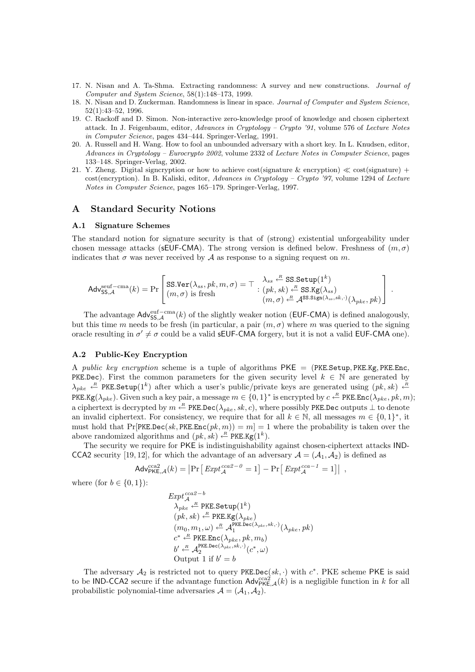- 17. N. Nisan and A. Ta-Shma. Extracting randomness: A survey and new constructions. Journal of Computer and System Science, 58(1):148–173, 1999.
- 18. N. Nisan and D. Zuckerman. Randomness is linear in space. Journal of Computer and System Science, 52(1):43–52, 1996.
- 19. C. Rackoff and D. Simon. Non-interactive zero-knowledge proof of knowledge and chosen ciphertext attack. In J. Feigenbaum, editor, Advances in Cryptology – Crypto '91, volume 576 of Lecture Notes in Computer Science, pages 434–444. Springer-Verlag, 1991.
- 20. A. Russell and H. Wang. How to fool an unbounded adversary with a short key. In L. Knudsen, editor, Advances in Cryptology – Eurocrypto 2002, volume 2332 of Lecture Notes in Computer Science, pages 133–148. Springer-Verlag, 2002.
- 21. Y. Zheng. Digital signcryption or how to achieve cost(signature & encryption)  $\ll$  cost(signature) + cost(encryption). In B. Kaliski, editor, Advances in Cryptology – Crypto '97, volume 1294 of Lecture Notes in Computer Science, pages 165–179. Springer-Verlag, 1997.

## A Standard Security Notions

#### A.1 Signature Schemes

The standard notion for signature security is that of (strong) existential unforgeability under chosen message attacks (sEUF-CMA). The strong version is defined below. Freshness of  $(m, \sigma)$ indicates that  $\sigma$  was never received by A as response to a signing request on m.

$$
\mathsf{Adv}^{\text{seuf-cma}}_{\mathsf{SS},\mathcal{A}}(k) = \Pr\left[\begin{matrix}\texttt{SS}.\texttt{Ver}(\lambda_{ss},pk,m,\sigma) = \top & \lambda_{ss} \stackrel{\mathcal{R}}{\leftarrow} \texttt{SS}.\texttt{Setup}(1^k)\\(m,\sigma) \text{ is fresh} & (pk,sk) \stackrel{\mathcal{R}}{\leftarrow} \texttt{SS}.\texttt{Kg}(\lambda_{ss})\\(m,\sigma) \stackrel{\mathcal{R}}{\leftarrow} \mathcal{A}^{\texttt{SS}.\texttt{Sign}(\lambda_{ss},sk,\cdot)}(\lambda_{pke},pk)\end{matrix}\right]\right. .
$$

The advantage  $\mathsf{Adv}_{SS,\mathcal{A}}^{\text{euf-cma}}(k)$  of the slightly weaker notion (EUF-CMA) is defined analogously, but this time m needs to be fresh (in particular, a pair  $(m, \sigma)$  where m was queried to the signing oracle resulting in  $\sigma' \neq \sigma$  could be a valid **sEUF-CMA** forgery, but it is not a valid **EUF-CMA** one).

### A.2 Public-Key Encryption

A public key encryption scheme is a tuple of algorithms  $PKE = (PKE.Setup, PKE.Kg, PKE.Enc,$ PKE.Dec). First the common parameters for the given security level  $k \in \mathbb{N}$  are generated by  $\lambda_{pke} \leftarrow$  PKE.Setup(1k) after which a user's public/private keys are generated using  $(pk, sk) \leftarrow$ PKE.Kg( $\lambda_{pke}$ ). Given such a key pair, a message  $m \in \{0,1\}^*$  is encrypted by  $c \stackrel{\text{R}}{\leftarrow}$  PKE.Enc( $\lambda_{pke}, pk, m$ ); a ciphertext is decrypted by  $m \stackrel{\text{\tiny{R}}}{\leftarrow}$  PKE.Dec( $\lambda_{pke}, sk, c$ ), where possibly PKE.Dec outputs  $\perp$  to denote an invalid ciphertext. For consistency, we require that for all  $k \in \mathbb{N}$ , all messages  $m \in \{0,1\}^*$ , it must hold that Pr[PKE.Dec(sk, PKE.Enc(pk, m)) = m] = 1 where the probability is taken over the above randomized algorithms and  $(pk, sk) \stackrel{R}{\leftarrow} \text{PKE.Kg}(1^k)$ .

The security we require for PKE is indistinguishability against chosen-ciphertext attacks IND-CCA2 security [19, 12], for which the advantage of an adversary  $A = (A_1, A_2)$  is defined as

$$
Adv_{\mathsf{PKE},\mathcal{A}}^{\text{cca2}}(k) = \left| \Pr \left[ \operatorname{Expt}_{\mathcal{A}}^{\text{cca2}-0} = 1 \right] - \Pr \left[ \operatorname{Expt}_{\mathcal{A}}^{\text{cca}-1} = 1 \right] \right| ,
$$

where (for  $b \in \{0, 1\}$ ):

$$
Expt_{\mathcal{A}}^{cca2-b}
$$
\n
$$
\lambda_{pke} \stackrel{R}{\leftarrow} \text{PKE}.\text{Setup}(1^k)
$$
\n
$$
(pk, sk) \stackrel{R}{\leftarrow} \text{PKE}.\text{kg}(\lambda_{pke})
$$
\n
$$
(m_0, m_1, \omega) \stackrel{R}{\leftarrow} \mathcal{A}_1^{\text{PKE}.\text{Dec}(\lambda_{pke}, sk, \cdot)}(\lambda_{pke}, pk)
$$
\n
$$
c^* \stackrel{R}{\leftarrow} \text{PKE}.\text{Enc}(\lambda_{pke}, pk, m_b)
$$
\n
$$
b' \stackrel{R}{\leftarrow} \mathcal{A}_2^{\text{PKE}.\text{Dec}(\lambda_{pke}, sk, \cdot)}(c^*, \omega)
$$
\nOutput 1 if  $b' = b$ 

The adversary  $\mathcal{A}_2$  is restricted not to query PKE.Dec(sk, ·) with  $c^*$ . PKE scheme PKE is said to be IND-CCA2 secure if the advantage function  $\text{Adv}_{\text{PKE},\mathcal{A}}^{\text{cca2}}(k)$  is a negligible function in k for all probabilistic polynomial-time adversaries  $\mathcal{A} = (\mathcal{A}_1, \mathcal{A}_2)$ .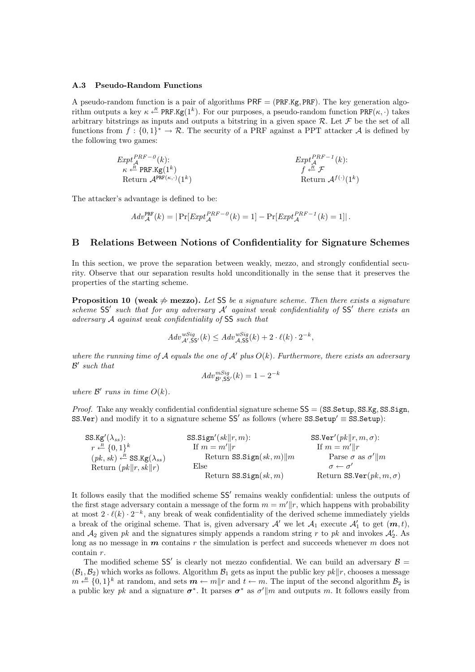#### A.3 Pseudo-Random Functions

A pseudo-random function is a pair of algorithms  $\mathsf{PRF} = (\mathsf{PRF.Kg}, \mathsf{PRF})$ . The key generation algorithm outputs a key  $\kappa \stackrel{R}{\leftarrow} PRF.Kg(1^k)$ . For our purposes, a pseudo-random function  $PRF(\kappa, \cdot)$  takes arbitrary bitstrings as inputs and outputs a bitstring in a given space  $\mathcal{R}$ . Let  $\mathcal F$  be the set of all functions from  $f: \{0,1\}^* \to \mathcal{R}$ . The security of a PRF against a PPT attacker A is defined by the following two games:

| $Expt_A^{PRF-0}(k)$ :                                             | $Expt_A^{PRF-1}(k)$ :                           |
|-------------------------------------------------------------------|-------------------------------------------------|
| $\kappa \stackrel{\text{A}}{\leftarrow} PRF \cdot \text{Kg}(1^k)$ | $f \stackrel{\text{B}}{\leftarrow} \mathcal{F}$ |
| Return $\mathcal{A}^{PRF(\kappa, \cdot)}(1^k)$                    | $Return \mathcal{A}^{f(\cdot)}(1^k)$            |

The attacker's advantage is defined to be:

$$
Adv_{\mathcal{A}}^{\text{PRF}}(k) = |\Pr[Exp t_{\mathcal{A}}^{PRF - 0}(k) = 1] - \Pr[Exp t_{\mathcal{A}}^{PRF - 1}(k) = 1]|.
$$

## B Relations Between Notions of Confidentiality for Signature Schemes

In this section, we prove the separation between weakly, mezzo, and strongly confidential security. Observe that our separation results hold unconditionally in the sense that it preserves the properties of the starting scheme.

**Proposition 10 (weak**  $\neq$  **mezzo).** Let SS be a signature scheme. Then there exists a signature scheme  $SS'$  such that for any adversary  $A'$  against weak confidentiality of  $SS'$  there exists an adversary A against weak confidentiality of SS such that

$$
Adv_{\mathcal{A}',SS'}^{wSig}(k) \leq Adv_{\mathcal{A},SS}^{wSig}(k) + 2 \cdot \ell(k) \cdot 2^{-k},
$$

where the running time of A equals the one of A' plus  $O(k)$ . Furthermore, there exists an adversary  $\mathcal{B}'$  such that

$$
Adv^{mSig}_{\mathcal{B}',SS'}(k) = 1 - 2^{-k}
$$

where  $\mathcal{B}'$  runs in time  $O(k)$ .

*Proof.* Take any weakly confidential confidential signature scheme  $SS = (SS.Setup, SS.Kg, SS.Sign,$  $SS.$ Ver) and modify it to a signature scheme  $SS'$  as follows (where  $SS.$ Setup'  $\equiv$  SS. Setup):

| SS.Kg'( $\lambda_{ss}$ ):                                   | SS.Sign'(sk  r, m):               | SS.Ver' $(\textit{pk} \  \textit{r}, \textit{m}, \sigma)$ : |
|-------------------------------------------------------------|-----------------------------------|-------------------------------------------------------------|
| $r \leftarrow R \{0,1\}^k$                                  | If $m = m'  r$                    | If $m = m'  r$                                              |
| $(pk, sk) \stackrel{R}{\leftarrow}$ SS.Kg( $\lambda_{ss}$ ) | Return SS.Sign $(sk, m)$   m      | Parse $\sigma$ as $\sigma'$ //m                             |
| Return $(\rho k  r, sk  r)$                                 | Else                              | $\sigma \leftarrow \sigma'$                                 |
|                                                             | Return $SS. Sign(\mathit{sk}, m)$ | Return SS.Ver $(pk, m, \sigma)$                             |

It follows easily that the modified scheme  $SS'$  remains weakly confidential: unless the outputs of the first stage adversary contain a message of the form  $m = m^{\prime}||r$ , which happens with probability at most  $2 \cdot \ell(k) \cdot 2^{-k}$ , any break of weak confidentiality of the derived scheme immediately yields a break of the original scheme. That is, given adversary  $\mathcal{A}'$  we let  $\mathcal{A}_1$  execute  $\mathcal{A}'_1$  to get  $(m, t)$ , and  $A_2$  given pk and the signatures simply appends a random string r to pk and invokes  $A_2'$ . As long as no message in  $m$  contains r the simulation is perfect and succeeds whenever  $m$  does not contain r.

The modified scheme SS' is clearly not mezzo confidential. We can build an adversary  $\beta =$  $(\mathcal{B}_1, \mathcal{B}_2)$  which works as follows. Algorithm  $\mathcal{B}_1$  gets as input the public key  $pk||r$ , chooses a message  $m \stackrel{R}{\leftarrow} \{0,1\}^k$  at random, and sets  $m \leftarrow m || r$  and  $t \leftarrow m$ . The input of the second algorithm  $\mathcal{B}_2$  is a public key pk and a signature  $\sigma^*$ . It parses  $\sigma^*$  as  $\sigma' \| m$  and outputs m. It follows easily from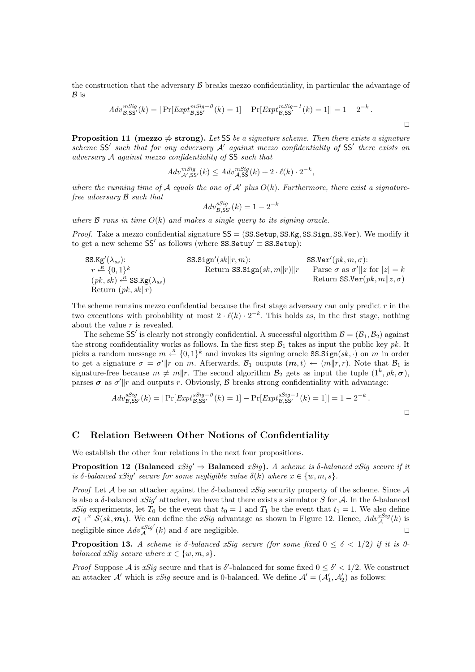the construction that the adversary  $\beta$  breaks mezzo confidentiality, in particular the advantage of  $\mathcal{B}$  is

$$
Adv_{\mathcal{B},SS'}^{mSig}(k) = |\Pr[Expt_{\mathcal{B},SS'}^{mSig-0}(k) = 1] - \Pr[Expt_{\mathcal{B},SS'}^{mSig-1}(k) = 1]| = 1 - 2^{-k}.
$$

 $\Box$ 

 $\Box$ 

**Proposition 11 (mezzo**  $\neq$  **strong).** Let SS be a signature scheme. Then there exists a signature scheme  $SS'$  such that for any adversary  $A'$  against mezzo confidentiality of SS' there exists an adversary A against mezzo confidentiality of SS such that

$$
Adv^{mSig}_{\mathcal{A}',SS'}(k) \leq Adv^{mSig}_{\mathcal{A},SS}(k) + 2 \cdot \ell(k) \cdot 2^{-k},
$$

where the running time of A equals the one of A' plus  $O(k)$ . Furthermore, there exist a signaturefree adversary B such that

$$
Adv_{\mathcal{B},SS'}^{sSig}(k) = 1 - 2^{-k}
$$

where  $\beta$  runs in time  $O(k)$  and makes a single query to its signing oracle.

*Proof.* Take a mezzo confidential signature  $SS = (SS. Setup, SS. Kg, SS. Sign, SS. Ver)$ . We modify it to get a new scheme  $SS'$  as follows (where  $SS.$ Setup'  $\equiv$  SS.Setup):

| $\text{SS}.\text{Kg}'(\lambda_{ss})$ :                                       | $\text{SS}.\text{Sign}'(sk\ r,m)$ :           | $\text{SS}.\text{Ver}'(pk,m,\sigma)$ :                             |
|------------------------------------------------------------------------------|-----------------------------------------------|--------------------------------------------------------------------|
| $r \stackrel{\text{A}}{\leftarrow} \{0,1\}^k$                                | $\text{Return SS}.\text{Sign}(sk,m\ r)\ r$    | $\text{Parse } \sigma \text{ as } \sigma'\ z \text{ for }  z  = k$ |
| $(pk, sk) \stackrel{\text{A}}{\leftarrow} \text{SS}.\text{Kg}(\lambda_{ss})$ | $\text{Return SS}.\text{Ver}(pk,m\ z,\sigma)$ |                                                                    |
| $\text{Return } (pk, sk\ r)$                                                 | $\text{Return SS}.\text{Ver}(pk,m\ z,\sigma)$ |                                                                    |

The scheme remains mezzo confidential because the first stage adversary can only predict  $r$  in the two executions with probability at most  $2 \cdot \ell(k) \cdot 2^{-k}$ . This holds as, in the first stage, nothing about the value  $r$  is revealed.

The scheme SS' is clearly not strongly confidential. A successful algorithm  $\mathcal{B} = (\mathcal{B}_1, \mathcal{B}_2)$  against the strong confidentiality works as follows. In the first step  $\mathcal{B}_1$  takes as input the public key pk. It picks a random message  $m \leftarrow \{0,1\}^k$  and invokes its signing oracle SS.Sign $(sk, \cdot$ ) on m in order to get a signature  $\sigma = \sigma' || r$  on m. Afterwards,  $\mathcal{B}_1$  outputs  $(m, t) \leftarrow (m||r, r)$ . Note that  $\mathcal{B}_1$  is signature-free because  $m \neq m||r$ . The second algorithm  $\mathcal{B}_2$  gets as input the tuple  $(1^k, pk, \sigma)$ , parses  $\sigma$  as  $\sigma'$  ||r and outputs r. Obviously,  $\beta$  breaks strong confidentiality with advantage:

$$
Adv_{\mathcal{B},SS'}^{Sig}(k) = |\Pr[Exp t_{\mathcal{B},SS'}^{sig-0}(k) = 1] - \Pr[Exp t_{\mathcal{B},SS'}^{sSig-1}(k) = 1]| = 1 - 2^{-k}.
$$

## C Relation Between Other Notions of Confidentiality

We establish the other four relations in the next four propositions.

**Proposition 12 (Balanced**  $xSig' \Rightarrow$  **Balanced**  $xSig$ ). A scheme is  $\delta$ -balanced  $xSig$  secure if it is  $\delta$ -balanced xSig' secure for some negligible value  $\delta(k)$  where  $x \in \{w, m, s\}$ .

*Proof* Let A be an attacker against the  $\delta$ -balanced xSiq security property of the scheme. Since A is also a  $\delta$ -balanced xSig' attacker, we have that there exists a simulator S for A. In the  $\delta$ -balanced xSig experiments, let  $T_0$  be the event that  $t_0 = 1$  and  $T_1$  be the event that  $t_1 = 1$ . We also define  $\sigma_b^* \stackrel{\kappa}{\leftarrow} \mathcal{S}(sk, m_b)$ . We can define the xSig advantage as shown in Figure 12. Hence,  $Adv_{\mathcal{A}}^{xSig}(k)$  is negligible since  $Adv_{\mathcal{A}}^{xSig'}(k)$  and  $\delta$  are negligible.

**Proposition 13.** A scheme is  $\delta$ -balanced xSig secure (for some fixed  $0 \leq \delta \leq 1/2$ ) if it is 0balanced xSig secure where  $x \in \{w, m, s\}$ .

*Proof* Suppose A is xSig secure and that is  $\delta'$ -balanced for some fixed  $0 \leq \delta' < 1/2$ . We construct an attacker  $\mathcal{A}'$  which is xSig secure and is 0-balanced. We define  $\mathcal{A}' = (\mathcal{A}'_1, \mathcal{A}'_2)$  as follows: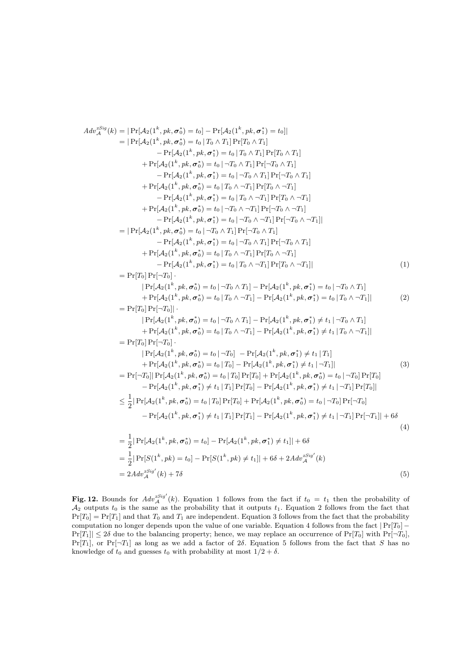$$
A dy_{A}^{sing}(k) = |Pr[A_{2}(1^{k}, pk, \sigma_{0}^{*}) = t_{0}] - Pr[A_{2}(1^{k}, pk, \sigma_{1}^{*}) = t_{0}]|
$$
\n
$$
= |Pr[A_{3}(1^{k}, pk, \sigma_{0}^{*}) = t_{0} | T_{0} \land T_{1}] Pr[T_{0} \land T_{1}]
$$
\n
$$
+ Pr[A_{2}(1^{k}, pk, \sigma_{0}^{*}) = t_{0} | T_{0} \land T_{1}] Pr[T_{0} \land T_{1}]
$$
\n
$$
+ Pr[A_{2}(1^{k}, pk, \sigma_{0}^{*}) = t_{0} | T_{0} \land T_{1}] Pr[T_{0} \land T_{1}]
$$
\n
$$
+ Pr[A_{2}(1^{k}, pk, \sigma_{0}^{*}) = t_{0} | T_{0} \land T_{1}] Pr[-T_{0} \land T_{1}]
$$
\n
$$
+ Pr[A_{2}(1^{k}, pk, \sigma_{0}^{*}) = t_{0} | T_{0} \land T_{1}] Pr[T_{0} \land T_{1}]
$$
\n
$$
+ Pr[A_{2}(1^{k}, pk, \sigma_{0}^{*}) = t_{0} | T_{0} \land T_{1}] Pr[T_{0} \land T_{1}]
$$
\n
$$
+ Pr[A_{2}(1^{k}, pk, \sigma_{0}^{*}) = t_{0} | T_{0} \land T_{1}] Pr[T_{0} \land T_{1}]
$$
\n
$$
+ Pr[A_{2}(1^{k}, pk, \sigma_{0}^{*}) = t_{0} | T_{0} \land T_{1}] Pr[T_{0} \land T_{1}]
$$
\n
$$
+ Pr[A_{2}(1^{k}, pk, \sigma_{0}^{*}) = t_{0} | T_{0} \land T_{1}] Pr[T_{0} \land T_{1}]
$$
\n
$$
+ Pr[A_{2}(1^{k}, pk, \sigma_{0}^{*}) = t_{0} | T_{0} \land T_{1}] Pr[T_{0} \land T_{1}]
$$
\n
$$
+ Pr[A_{2}(1^{k}, pk, \sigma_{0}^{*}) = t_{0} | T_{0} \land T_{1}] Pr[T_{0} \land T_{1}]
$$
\n
$$
+ Pr[A_{2}(1^{k}, pk, \sigma_{0}^{*}) = t_{0} | T_{0} \land T_{1}] Pr[T_{0} \land T_{1}]
$$
\n
$$
+
$$

Fig. 12. Bounds for  $Adv_{\mathcal{A}}^{xSig'}(k)$ . Equation 1 follows from the fact if  $t_0 = t_1$  then the probability of  $\mathcal{A}_2$  outputs  $t_0$  is the same as the probability that it outputs  $t_1$ . Equation 2 follows from the fact that  $Pr[T_0] = Pr[T_1]$  and that  $T_0$  and  $T_1$  are independent. Equation 3 follows from the fact that the probability computation no longer depends upon the value of one variable. Equation 4 follows from the fact  $|Pr[T_0] Pr[T_1] \leq 2\delta$  due to the balancing property; hence, we may replace an occurrence of  $Pr[T_0]$  with  $Pr[\neg T_0]$ ,  $Pr[T_1]$ , or  $Pr[\neg T_1]$  as long as we add a factor of 2δ. Equation 5 follows from the fact that S has no knowledge of  $t_0$  and guesses  $t_0$  with probability at most  $1/2 + \delta$ .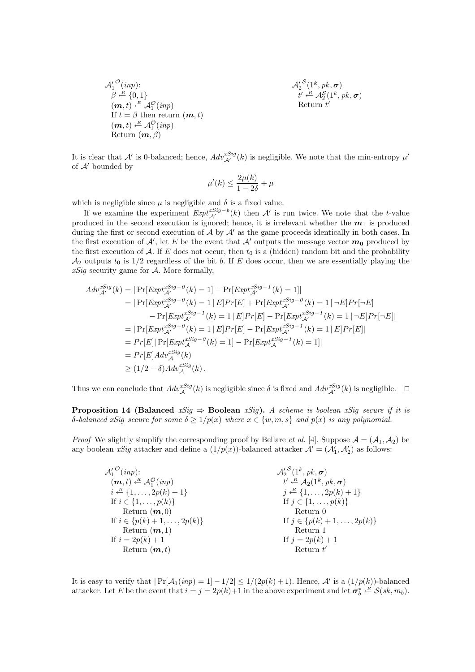$$
\mathcal{A}_1^{\prime \, O}(inp);\\ \beta \stackrel{\text{\scriptsize def}}{\leftarrow} \{0,1\}\\ \text{\scriptsize (m,t) \stackrel{\text{\scriptsize def}}{\leftarrow}} \mathcal{A}_1^{\text{\scriptsize O}}(inp)\\ \text{\scriptsize If } t = \beta \text{ then return } (\bm{m},t)\\ (\bm{m},t) \stackrel{\text{\scriptsize def}}{\leftarrow} \mathcal{A}_1^{\text{\scriptsize O}}(inp)\\ \text{\scriptsize Return } (\bm{m},\beta)
$$

 $\mathcal{A}_2^{\prime\, \mathcal{S}}(1^k,pk,\boldsymbol{\sigma})$  $t' \stackrel{\scriptscriptstyle R}{\leftarrow} \mathcal{A}_2^{\mathcal{S}}(1^k, \mathit{pk}, \bm{\sigma})$ Return  $t'$ 

It is clear that  $\mathcal{A}'$  is 0-balanced; hence,  $Adv_{\mathcal{A}'}^{ssig}(k)$  is negligible. We note that the min-entropy  $\mu'$ of  $A'$  bounded by

$$
\mu'(k) \le \frac{2\mu(k)}{1 - 2\delta} + \mu
$$

which is negligible since  $\mu$  is negligible and  $\delta$  is a fixed value.

If we examine the experiment  $Expt_{\mathcal{A}'}^{xSig-b}(k)$  then  $\mathcal{A}'$  is run twice. We note that the t-value produced in the second execution is ignored; hence, it is irrelevant whether the  $m_1$  is produced during the first or second execution of  $\mathcal A$  by  $\mathcal A'$  as the game proceeds identically in both cases. In the first execution of  $\mathcal{A}'$ , let E be the event that  $\mathcal{A}'$  outputs the message vector  $m_0$  produced by the first execution of A. If E does not occur, then  $t_0$  is a (hidden) random bit and the probability  $\mathcal{A}_2$  outputs  $t_0$  is 1/2 regardless of the bit b. If E does occur, then we are essentially playing the  $xSig$  security game for  $A$ . More formally,

$$
Adv_{\mathcal{A}'}^{xSig}(k) = |\Pr[Exp t_{\mathcal{A}'}^{xSig - 0}(k) = 1] - \Pr[Exp t_{\mathcal{A}'}^{xSig - 1}(k) = 1]|
$$
  
\n
$$
= |\Pr[Exp t_{\mathcal{A}'}^{xSig - 0}(k) = 1 | E]Pr[E] + \Pr[Exp t_{\mathcal{A}'}^{xSig - 0}(k) = 1 | \neg E]Pr[\neg E]
$$
  
\n
$$
- \Pr[Exp t_{\mathcal{A}'}^{xSig - 1}(k) = 1 | E]Pr[E] - \Pr[Exp t_{\mathcal{A}'}^{xSig - 1}(k) = 1 | \neg E]Pr[\neg E]
$$
  
\n
$$
= |\Pr[Exp t_{\mathcal{A}'}^{xSig - 0}(k) = 1 | E]Pr[E] - \Pr[Exp t_{\mathcal{A}'}^{xSig - 1}(k) = 1 | E]Pr[E]
$$
  
\n
$$
= Pr[E] \Pr[Exp t_{\mathcal{A}}^{xSig - 0}(k) = 1] - \Pr[Exp t_{\mathcal{A}}^{xSig - 1}(k) = 1]|
$$
  
\n
$$
= Pr[E]Adv_{\mathcal{A}}^{xSig}(k)
$$
  
\n
$$
\geq (1/2 - \delta)Adv_{\mathcal{A}}^{xSig}(k).
$$

Thus we can conclude that  $Adv_{\mathcal{A}}^{xSig}(k)$  is negligible since  $\delta$  is fixed and  $Adv_{\mathcal{A}'}^{xSig}(k)$  is negligible.  $\Box$ 

**Proposition 14 (Balanced**  $xSig \Rightarrow$  **Boolean**  $xSig$ ). A scheme is boolean  $xSig$  secure if it is δ-balanced xSig secure for some  $\delta \geq 1/p(x)$  where  $x \in \{w, m, s\}$  and  $p(x)$  is any polynomial.

*Proof* We slightly simplify the corresponding proof by Bellare *et al.* [4]. Suppose  $\mathcal{A} = (\mathcal{A}_1, \mathcal{A}_2)$  be any boolean xSig attacker and define a  $(1/p(x))$ -balanced attacker  $\mathcal{A}' = (\mathcal{A}'_1, \mathcal{A}'_2)$  as follows:

| $\mathcal{A}'_1^{\mathcal{O}}(inp)$ :                  | $\mathcal{A}'_2{}^{\mathcal{S}}(1^k, pk, \sigma)$            |
|--------------------------------------------------------|--------------------------------------------------------------|
| $(m, t) \leftarrow^R \mathcal{A}_1^{\mathcal{O}}(inp)$ | $t' \stackrel{R}{\leftarrow} \mathcal{A}_2(1^k, pk, \sigma)$ |
| $i \stackrel{R}{\leftarrow} \{1, \ldots, 2p(k) + 1\}$  | $j \stackrel{R}{\leftarrow} \{1, \ldots, 2p(k) + 1\}$        |
| If $i \in \{1, , p(k)\}\$                              | If $j \in \{1, , p(k)\}\$                                    |
| Return $(m,0)$                                         | Return 0                                                     |
| If $i \in \{p(k) + 1, \ldots, 2p(k)\}\$                | If $j \in \{p(k)+1,\ldots,2p(k)\}\$                          |
| Return $(m,1)$                                         | Return 1                                                     |
| If $i = 2p(k) + 1$                                     | If $j = 2p(k) + 1$                                           |
| Return $(m, t)$                                        | Return $t'$                                                  |

It is easy to verify that  $|\Pr[\mathcal{A}_1(inp) = 1] - 1/2| \le 1/(2p(k) + 1)$ . Hence,  $\mathcal{A}'$  is a  $(1/p(k))$ -balanced attacker. Let E be the event that  $i = j = 2p(k)+1$  in the above experiment and let  $\sigma_b^* \leftarrow \mathcal{S}(sk, m_b)$ .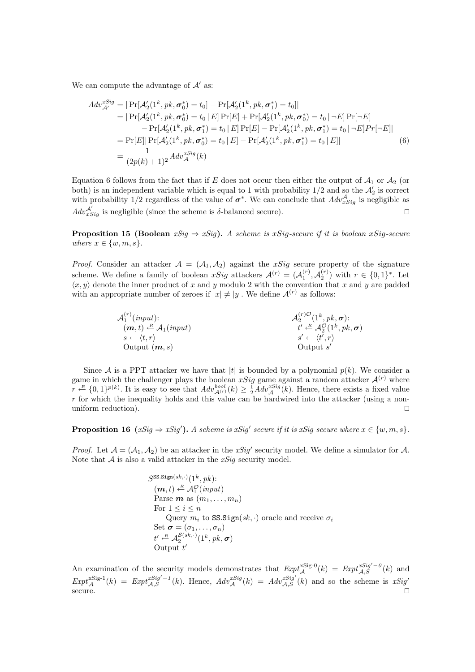We can compute the advantage of  $A'$  as:

$$
Adv_{\mathcal{A}'}^{sSig} = |\Pr[\mathcal{A}'_2(1^k, pk, \sigma_0^*) = t_0] - \Pr[\mathcal{A}'_2(1^k, pk, \sigma_1^*) = t_0]|
$$
  
\n
$$
= |\Pr[\mathcal{A}'_2(1^k, pk, \sigma_0^*) = t_0 | E] \Pr[E] + \Pr[\mathcal{A}'_2(1^k, pk, \sigma_0^*) = t_0 | -E] \Pr[\neg E]
$$
  
\n
$$
- \Pr[\mathcal{A}'_2(1^k, pk, \sigma_1^*) = t_0 | E] \Pr[E] - \Pr[\mathcal{A}'_2(1^k, pk, \sigma_1^*) = t_0 | -E] \Pr[\neg E]|
$$
  
\n
$$
= \Pr[E] |\Pr[\mathcal{A}'_2(1^k, pk, \sigma_0^*) = t_0 | E] - \Pr[\mathcal{A}'_2(1^k, pk, \sigma_1^*) = t_0 | E]|
$$
  
\n
$$
= \frac{1}{(2p(k) + 1)^2} Adv_{\mathcal{A}}^{sSig}(k)
$$
 (6)

Equation 6 follows from the fact that if E does not occur then either the output of  $A_1$  or  $A_2$  (or both) is an independent variable which is equal to 1 with probability  $1/2$  and so the  $\mathcal{A}'_2$  is correct with probability 1/2 regardless of the value of  $\sigma^*$ . We can conclude that  $Adv_{xSig}^{\mathcal{A}}$  is negligible as  $Adv^{\mathcal{A}'}_{xSig}$  is negligible (since the scheme is  $\delta$ -balanced secure).

**Proposition 15 (Boolean**  $xSig \Rightarrow xSig$ ). A scheme is  $xSig$ -secure if it is boolean  $xSig$ -secure where  $x \in \{w, m, s\}$ .

*Proof.* Consider an attacker  $A = (A_1, A_2)$  against the xSig secure property of the signature scheme. We define a family of boolean  $xSig$  attackers  $\mathcal{A}^{(r)} = (\mathcal{A}_1^{(r)}, \mathcal{A}_2^{(r)})$  with  $r \in \{0, 1\}^*$ . Let  $\langle x, y \rangle$  denote the inner product of x and y modulo 2 with the convention that x and y are padded with an appropriate number of zeroes if  $|x| \neq |y|$ . We define  $\mathcal{A}^{(r)}$  as follows:

$$
\mathcal{A}_{1}^{(r)}(input);
$$
\n
$$
\langle \mathbf{m}, t \rangle \stackrel{R}{\leftarrow} \mathcal{A}_{1}(input)
$$
\n
$$
s \leftarrow \langle t, r \rangle
$$
\n
$$
\langle \mathbf{m}, t \rangle \stackrel{R}{\leftarrow} \mathcal{A}_{2}^{(r)}(1^{k}, pk, \sigma);
$$
\n
$$
t' \stackrel{R}{\leftarrow} \mathcal{A}_{2}^{O}(1^{k}, pk, \sigma)
$$
\n
$$
s' \leftarrow \langle t', r \rangle
$$
\nOutput 
$$
\langle \mathbf{m}, s \rangle
$$
\nOutput 
$$
s'
$$

Since A is a PPT attacker we have that |t| is bounded by a polynomial  $p(k)$ . We consider a game in which the challenger plays the boolean xSig game against a random attacker  $\mathcal{A}^{(r)}$  where  $r \leftarrow R \{0,1\}^{p(k)}$ . It is easy to see that  $Adv_{\mathcal{A}^{(r)}}^{bool}(k) \geq \frac{1}{2} Adv_{\mathcal{A}}^{xSig}(k)$ . Hence, there exists a fixed value  $r$  for which the inequality holds and this value can be hardwired into the attacker (using a nonuniform reduction).  $\Box$ 

**Proposition 16**  $(xSig \Rightarrow xSig')$ . A scheme is  $xSig'$  secure if it is  $xSig$  secure where  $x \in \{w, m, s\}$ .

*Proof.* Let  $A = (A_1, A_2)$  be an attacker in the xSig' security model. We define a simulator for A. Note that  $A$  is also a valid attacker in the  $xSig$  security model.

$$
S^{\text{SS}.{\text{Sign}}(sk,\cdot)}(1^k, pk);
$$
\n
$$
(\mathbf{m}, t) \stackrel{\text{R}}{\leftarrow} \mathcal{A}_1^{\mathcal{O}}(input)
$$
\n\nParse  $\mathbf{m}$  as  $(m_1, \ldots, m_n)$   
\nFor  $1 \leq i \leq n$   
\nQuery  $m_i$  to  $\text{SS}.{\text{Sign}}(sk, \cdot)$  oracle and receive  $\sigma_i$   
\nSet  $\sigma = (\sigma_1, \ldots, \sigma_n)$   
\n $t' \stackrel{\text{R}}{\leftarrow} \mathcal{A}_2^{\mathcal{S}(sk, \cdot)}(1^k, pk, \sigma)$   
\nOutput  $t'$ 

An examination of the security models demonstrates that  $Expt_A^{xSig-0}(k) = Expt_{A,S}^{xSig'-0}(k)$  and  $Expt_{\mathcal{A}}^{xSig-1}(k) = Expt_{\mathcal{A},S}^{xSig'-1}(k)$ . Hence,  $Adv_{\mathcal{A}}^{xSig}(k) = Adv_{\mathcal{A},S}^{xSig'}(k)$  and so the scheme is  $xSig'$  $\Box$  secure.  $\Box$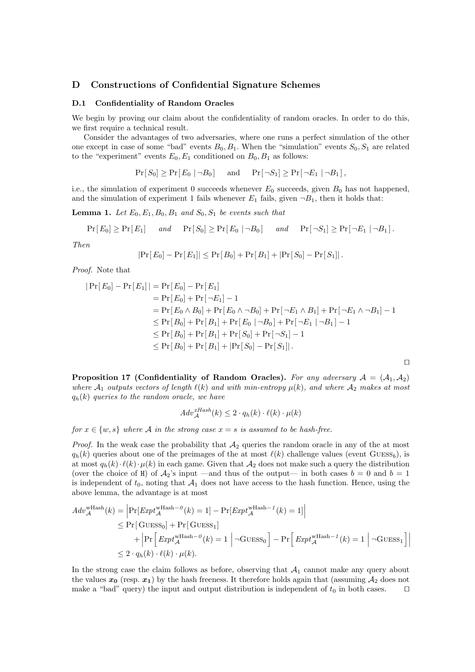### D Constructions of Confidential Signature Schemes

### D.1 Confidentiality of Random Oracles

We begin by proving our claim about the confidentiality of random oracles. In order to do this, we first require a technical result.

Consider the advantages of two adversaries, where one runs a perfect simulation of the other one except in case of some "bad" events  $B_0, B_1$ . When the "simulation" events  $S_0, S_1$  are related to the "experiment" events  $E_0, E_1$  conditioned on  $B_0, B_1$  as follows:

$$
Pr[S_0] \geq Pr[E_0 | \neg B_0] \quad \text{and} \quad Pr[\neg S_1] \geq Pr[\neg E_1 | \neg B_1],
$$

i.e., the simulation of experiment 0 succeeds whenever  $E_0$  succeeds, given  $B_0$  has not happened, and the simulation of experiment 1 fails whenever  $E_1$  fails, given  $\neg B_1$ , then it holds that:

**Lemma 1.** Let  $E_0, E_1, B_0, B_1$  and  $S_0, S_1$  be events such that

$$
Pr[E_0] \geq Pr[E_1] \quad and \quad Pr[S_0] \geq Pr[E_0 | \neg B_0] \quad and \quad Pr[\neg S_1] \geq Pr[\neg E_1 | \neg B_1].
$$

Then

$$
|\Pr[E_0] - \Pr[E_1]| \leq \Pr[B_0] + \Pr[B_1] + |\Pr[S_0] - \Pr[S_1]|.
$$

Proof. Note that

¯

$$
|\Pr[E_0] - \Pr[E_1]| = \Pr[E_0] - \Pr[E_1]
$$
  
=  $\Pr[E_0] + \Pr[\neg E_1] - 1$   
=  $\Pr[E_0 \land B_0] + \Pr[E_0 \land \neg B_0] + \Pr[\neg E_1 \land B_1] + \Pr[\neg E_1 \land \neg B_1] - 1$   
 $\leq \Pr[B_0] + \Pr[B_1] + \Pr[E_0 | \neg B_0] + \Pr[\neg E_1 | \neg B_1] - 1$   
 $\leq \Pr[B_0] + \Pr[B_1] + \Pr[S_0] + \Pr[\neg S_1] - 1$   
 $\leq \Pr[B_0] + \Pr[B_1] + |\Pr[S_0] - \Pr[S_1]|.$ 

 $\Box$ 

Proposition 17 (Confidentiality of Random Oracles). For any adversary  $A = (A_1, A_2)$ where  $A_1$  outputs vectors of length  $\ell(k)$  and with min-entropy  $\mu(k)$ , and where  $A_2$  makes at most  $q_h(k)$  queries to the random oracle, we have

$$
Adv_{\mathcal{A}}^{xHash}(k) \le 2 \cdot q_h(k) \cdot \ell(k) \cdot \mu(k)
$$

for  $x \in \{w, s\}$  where A in the strong case  $x = s$  is assumed to be hash-free.

*Proof.* In the weak case the probability that  $A_2$  queries the random oracle in any of the at most  $q_h(k)$  queries about one of the preimages of the at most  $\ell(k)$  challenge values (event GUESS<sub>b</sub>), is at most  $q_h(k) \cdot \ell(k) \cdot \mu(k)$  in each game. Given that  $\mathcal{A}_2$  does not make such a query the distribution (over the choice of H) of  $\mathcal{A}_2$ 's input —and thus of the output— in both cases  $b = 0$  and  $b = 1$ is independent of  $t_0$ , noting that  $\mathcal{A}_1$  does not have access to the hash function. Hence, using the above lemma, the advantage is at most

$$
Adv_{\mathcal{A}}^{\text{wHash}}(k) = \left| \Pr[Exp t_{\mathcal{A}}^{\text{wHash}-0}(k) = 1] - \Pr[Exp t_{\mathcal{A}}^{\text{wHash}-1}(k) = 1] \right|
$$
  
\n
$$
\leq \Pr[G \text{UESS}_0] + \Pr[G \text{UESS}_1]
$$
  
\n
$$
+ \left| \Pr \left[ Exp t_{\mathcal{A}}^{\text{wHash}-0}(k) = 1 \right] - G \text{UESS}_0 \right] - \Pr \left[ Exp t_{\mathcal{A}}^{\text{wHash}-1}(k) = 1 \right] - G \text{UESS}_1 \right]
$$
  
\n
$$
\leq 2 \cdot q_h(k) \cdot \ell(k) \cdot \mu(k).
$$

¯

In the strong case the claim follows as before, observing that  $A_1$  cannot make any query about the values  $x_0$  (resp.  $x_1$ ) by the hash freeness. It therefore holds again that (assuming  $A_2$  does not make a "bad" query) the input and output distribution is independent of  $t_0$  in both cases.  $\Box$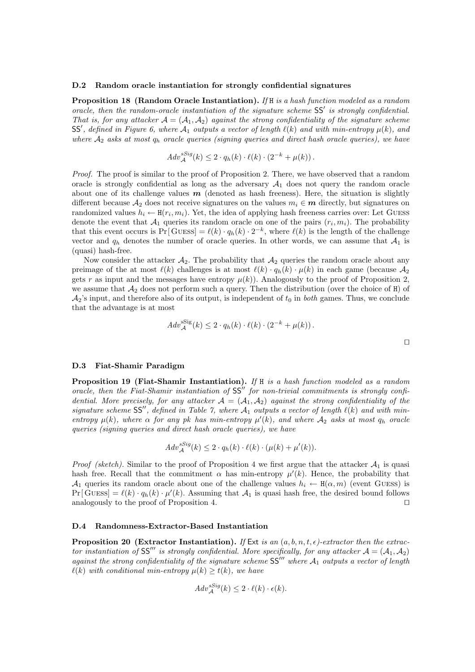### D.2 Random oracle instantiation for strongly confidential signatures

Proposition 18 (Random Oracle Instantiation). If H is a hash function modeled as a random oracle, then the random-oracle instantiation of the signature scheme  $SS'$  is strongly confidential. That is, for any attacker  $\mathcal{A} = (\mathcal{A}_1, \mathcal{A}_2)$  against the strong confidentiality of the signature scheme SS', defined in Figure 6, where  $\mathcal{A}_1$  outputs a vector of length  $\ell(k)$  and with min-entropy  $\mu(k)$ , and where  $A_2$  asks at most  $q_h$  oracle queries (signing queries and direct hash oracle queries), we have

$$
Adv_{\mathcal{A}}^{sSig}(k) \leq 2 \cdot q_h(k) \cdot \ell(k) \cdot (2^{-k} + \mu(k)).
$$

Proof. The proof is similar to the proof of Proposition 2. There, we have observed that a random oracle is strongly confidential as long as the adversary  $A_1$  does not query the random oracle about one of its challenge values  $m$  (denoted as hash freeness). Here, the situation is slightly different because  $A_2$  does not receive signatures on the values  $m_i \in \mathbf{m}$  directly, but signatures on randomized values  $h_i \leftarrow \text{H}(r_i, m_i)$ . Yet, the idea of applying hash freeness carries over: Let GUESS denote the event that  $A_1$  queries its random oracle on one of the pairs  $(r_i, m_i)$ . The probability that this event occurs is  $Pr[\text{GUESs}] = \ell(k) \cdot q_h(k) \cdot 2^{-k}$ , where  $\ell(k)$  is the length of the challenge vector and  $q_h$  denotes the number of oracle queries. In other words, we can assume that  $A_1$  is (quasi) hash-free.

Now consider the attacker  $A_2$ . The probability that  $A_2$  queries the random oracle about any preimage of the at most  $\ell(k)$  challenges is at most  $\ell(k) \cdot q_h(k) \cdot \mu(k)$  in each game (because  $\mathcal{A}_2$ ) gets r as input and the messages have entropy  $\mu(k)$ . Analogously to the proof of Proposition 2, we assume that  $A_2$  does not perform such a query. Then the distribution (over the choice of H) of  $\mathcal{A}_2$ 's input, and therefore also of its output, is independent of  $t_0$  in both games. Thus, we conclude that the advantage is at most

$$
Adv_{\mathcal{A}}^{\text{ssig}}(k) \le 2 \cdot q_h(k) \cdot \ell(k) \cdot (2^{-k} + \mu(k)).
$$

#### D.3 Fiat-Shamir Paradigm

**Proposition 19 (Fiat-Shamir Instantiation).** If H is a hash function modeled as a random oracle, then the Fiat-Shamir instantiation of  $SS''$  for non-trivial commitments is strongly confidential. More precisely, for any attacker  $A = (A_1, A_2)$  against the strong confidentiality of the signature scheme SS", defined in Table 7, where  $A_1$  outputs a vector of length  $\ell(k)$  and with minentropy  $\mu(k)$ , where  $\alpha$  for any pk has min-entropy  $\mu'(k)$ , and where  $\mathcal{A}_2$  asks at most  $q_h$  oracle queries (signing queries and direct hash oracle queries), we have

$$
Adv_{\mathcal{A}}^{sSig}(k) \leq 2 \cdot q_h(k) \cdot \ell(k) \cdot (\mu(k) + \mu'(k)).
$$

*Proof (sketch)*. Similar to the proof of Proposition 4 we first argue that the attacker  $A_1$  is quasi hash free. Recall that the commitment  $\alpha$  has min-entropy  $\mu'(k)$ . Hence, the probability that A<sub>1</sub> queries its random oracle about one of the challenge values  $h_i \leftarrow \mathbf{H}(\alpha, m)$  (event GUESS) is  $Pr[\text{GUESs}] = \ell(k) \cdot q_h(k) \cdot \mu'(k)$ . Assuming that  $\mathcal{A}_1$  is quasi hash free, the desired bound follows analogously to the proof of Proposition 4.  $\Box$ 

### D.4 Randomness-Extractor-Based Instantiation

**Proposition 20 (Extractor Instantiation).** If Ext is an  $(a, b, n, t, \epsilon)$ -extractor then the extractor instantiation of SS<sup>II</sup> is strongly confidential. More specifically, for any attacker  $A = (A_1, A_2)$ against the strong confidentiality of the signature scheme  $SS''''$  where  $A_1$  outputs a vector of length  $\ell(k)$  with conditional min-entropy  $\mu(k) \geq t(k)$ , we have

$$
Adv_{\mathcal{A}}^{sSig}(k) \leq 2 \cdot \ell(k) \cdot \epsilon(k).
$$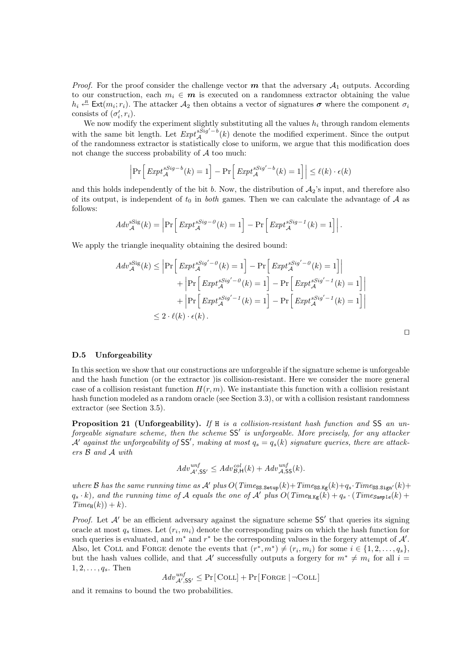*Proof.* For the proof consider the challenge vector  $m$  that the adversary  $A_1$  outputs. According to our construction, each  $m_i \in \mathbf{m}$  is executed on a randomness extractor obtaining the value  $h_i \stackrel{R}{\leftarrow} \text{Ext}(m_i; r_i)$ . The attacker  $\mathcal{A}_2$  then obtains a vector of signatures  $\sigma$  where the component  $\sigma_i$ consists of  $(\sigma_i', r_i)$ .

We now modify the experiment slightly substituting all the values  $h_i$  through random elements with the same bit length. Let  $Expt_A^{s\bar{S}ig'-b}(k)$  denote the modified experiment. Since the output of the randomness extractor is statistically close to uniform, we argue that this modification does not change the success probability of  $A$  too much:

$$
\left|\Pr\left[\,Exp t_{\mathcal{A}}^{sSig-b}(k) = 1\right] - \Pr\left[\,Exp t_{\mathcal{A}}^{sSig'-b}(k) = 1\right]\right| \le \ell(k) \cdot \epsilon(k)
$$

and this holds independently of the bit b. Now, the distribution of  $A_2$ 's input, and therefore also of its output, is independent of  $t_0$  in *both* games. Then we can calculate the advantage of A as follows:

$$
Adv_{\mathcal{A}}^{\text{Sig}}(k) = \left| \Pr \left[ \operatorname{Expt}_{\mathcal{A}}^{s\text{Sig}-0}(k) = 1 \right] - \Pr \left[ \operatorname{Expt}_{\mathcal{A}}^{s\text{Sig}-1}(k) = 1 \right] \right|.
$$

We apply the triangle inequality obtaining the desired bound:

$$
Adv_{\mathcal{A}}^{\text{SSig}}(k) \le \left| \Pr \left[ \operatorname{Expt}_{\mathcal{A}}^{sSig'-0}(k) = 1 \right] - \Pr \left[ \operatorname{Expt}_{\mathcal{A}}^{sSig'-0}(k) = 1 \right] \right|
$$
  
+ 
$$
\left| \Pr \left[ \operatorname{Expt}_{\mathcal{A}}^{sSig'-0}(k) = 1 \right] - \Pr \left[ \operatorname{Expt}_{\mathcal{A}}^{sSig'-1}(k) = 1 \right] \right|
$$
  
+ 
$$
\left| \Pr \left[ \operatorname{Expt}_{\mathcal{A}}^{sSig'-1}(k) = 1 \right] - \Pr \left[ \operatorname{Expt}_{\mathcal{A}}^{sSig'-1}(k) = 1 \right] \right|
$$
  

$$
\le 2 \cdot \ell(k) \cdot \epsilon(k).
$$

|  | ۰ |  |
|--|---|--|
|  |   |  |
|  |   |  |

#### D.5 Unforgeability

In this section we show that our constructions are unforgeable if the signature scheme is unforgeable and the hash function (or the extractor )is collision-resistant. Here we consider the more general case of a collision resistant function  $H(r, m)$ . We instantiate this function with a collision resistant hash function modeled as a random oracle (see Section 3.3), or with a collision resistant randomness extractor (see Section 3.5).

Proposition 21 (Unforgeability). If H is a collision-resistant hash function and SS an unforgeable signature scheme, then the scheme  $SS'$  is unforgeable. More precisely, for any attacker  $\mathcal{A}'$  against the unforgeability of SS', making at most  $q_s = q_s(k)$  signature queries, there are attackers B and A with

$$
Adv_{\mathcal{A}',SS'}^{unf} \leq Adv_{\mathcal{B},H}^{col}(k) + Adv_{\mathcal{A},SS}^{unf}(k).
$$

where B has the same running time as A' plus  $O(Times_{\text{SS}\text{.Setup}}(k)+Time_{\text{SS}\text{.Kg}}(k)+q_s\cdot Time_{\text{SS}\text{.Sign}}(k)+$  $q_s \cdot k$ , and the running time of A equals the one of A' plus  $O(Time_{H.Kg}(k) + q_s \cdot (Time_{Sample}(k) +$  $Time_{H}(k)$  + k).

*Proof.* Let  $A'$  be an efficient adversary against the signature scheme  $SS'$  that queries its signing oracle at most  $q_s$  times. Let  $(r_i, m_i)$  denote the corresponding pairs on which the hash function for such queries is evaluated, and  $m^*$  and  $r^*$  be the corresponding values in the forgery attempt of  $\mathcal{A}'$ . Also, let COLL and FORGE denote the events that  $(r^*, m^*) \neq (r_i, m_i)$  for some  $i \in \{1, 2, ..., q_s\}$ , but the hash values collide, and that A' successfully outputs a forgery for  $m^* \neq m_i$  for all  $i =$  $1, 2, \ldots, q_s$ . Then

$$
Adv^{unf}_{\mathcal{A}',\mathsf{SS}'} \leq \Pr{[\hspace{-1.5pt}|\hspace{-1.5pt}.\hspace{-1.5pt}\text{COLL}]}\hspace{-1.5pt}+\Pr{[\hspace{-1.5pt}|\hspace{-1.5pt}\text{FORGE} \hspace{-1.5pt}|\hspace{-1.5pt}-\hspace{-1.5pt}\text{COLL}]}
$$

and it remains to bound the two probabilities.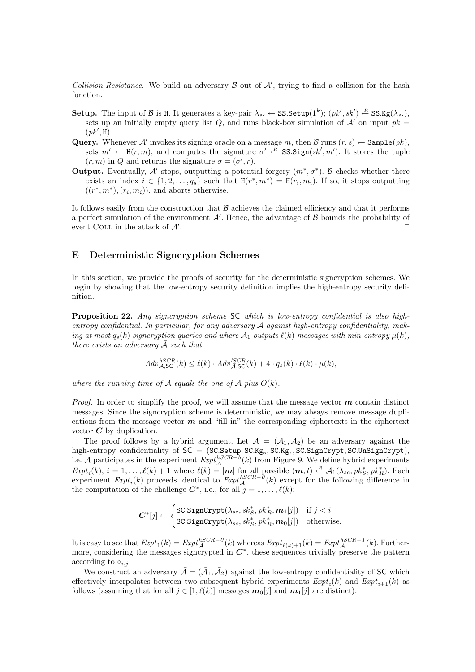Collision-Resistance. We build an adversary  $\beta$  out of  $\mathcal{A}'$ , trying to find a collision for the hash function.

- Setup. The input of B is H. It generates a key-pair  $\lambda_{ss} \leftarrow \text{SS}.\text{Setup}(1^k)$ ;  $(pk', sk') \leftarrow \text{SS}.\text{Kg}(\lambda_{ss}),$ sets up an initially empty query list Q, and runs black-box simulation of  $\mathcal{A}'$  on input  $pk =$  $(pk', H).$
- Query. Whenever A' invokes its signing oracle on a message m, then B runs  $(r, s) \leftarrow$  Sample $(pk)$ , sets  $m' \leftarrow H(r, m)$ , and computes the signature  $\sigma' \leftarrow \text{SS}.Sign(s k', m')$ . It stores the tuple  $(r, m)$  in Q and returns the signature  $\sigma = (\sigma', r)$ .
- **Output.** Eventually, A' stops, outputting a potential forgery  $(m^*, \sigma^*)$ . B checks whether there exists an index  $i \in \{1, 2, ..., q_s\}$  such that  $H(r^*, m^*) = H(r_i, m_i)$ . If so, it stops outputting  $((r^*, m^*), (r_i, m_i)),$  and aborts otherwise.

It follows easily from the construction that  $\beta$  achieves the claimed efficiency and that it performs a perfect simulation of the environment  $A'$ . Hence, the advantage of  $B$  bounds the probability of event COLL in the attack of  $\mathcal{A}'$ . . The contract of the contract of the contract of the contract of the contract of the contract of the contract of the contract of the contract of the contract of the contract of the contract of the contract of the contract

## E Deterministic Signcryption Schemes

In this section, we provide the proofs of security for the deterministic signcryption schemes. We begin by showing that the low-entropy security definition implies the high-entropy security definition.

Proposition 22. Any signcryption scheme SC which is low-entropy confidential is also highentropy confidential. In particular, for any adversary A against high-entropy confidentiality, making at most  $q_s(k)$  signcryption queries and where  $\mathcal{A}_1$  outputs  $\ell(k)$  messages with min-entropy  $\mu(k)$ , there exists an adversary  $\overline{A}$  such that

$$
Adv_{\mathcal{A},\mathsf{SC}}^{hSCR}(k) \le \ell(k) \cdot Adv_{\mathcal{A},\mathsf{SC}}^{lSCR}(k) + 4 \cdot q_s(k) \cdot \ell(k) \cdot \mu(k),
$$

where the running time of  $\overline{A}$  equals the one of  $A$  plus  $O(k)$ .

*Proof.* In order to simplify the proof, we will assume that the message vector  $\boldsymbol{m}$  contain distinct messages. Since the signcryption scheme is deterministic, we may always remove message duplications from the message vector  $m$  and "fill in" the corresponding ciphertexts in the ciphertext vector  $C$  by duplication.

The proof follows by a hybrid argument. Let  $\mathcal{A} = (\mathcal{A}_1, \mathcal{A}_2)$  be an adversary against the high-entropy confidentiality of  $SC = (SC.Setup, SC.Kg<sub>s</sub>, SC.Kg<sub>r</sub>, SC.SignCrypt, SC.UnSignCrypt),$ i.e. A participates in the experiment  $Exp<sup>t<sub>A</sub> (k)</sup>$  from Figure 9. We define hybrid experiments  $Expt_i(k), i = 1,..., \ell(k) + 1$  where  $\ell(k) = |\mathbf{m}|$  for all possible  $(\mathbf{m}, t) \leftarrow A_1(\lambda_{sc}, pk_{S}^*, pk_{R}^*)$ . Each experiment  $Expt_i(k)$  proceeds identical to  $Expt_A^{hSCR-0}(k)$  except for the following difference in the computation of the challenge  $C^*$ , i.e., for all  $j = 1, \ldots, \ell(k)$ :

$$
\boldsymbol{C}^*[j] \leftarrow \begin{cases} \texttt{SC.SignCrypt}(\lambda_{sc}, sk_S^*, pk_R^*, \boldsymbol{m}_1[j]) & \text{if } j < i \\ \texttt{SC.SignCrypt}(\lambda_{sc}, sk_S^*, pk_R^*, \boldsymbol{m}_0[j]) & \text{otherwise.} \end{cases}
$$

It is easy to see that  $Expt_1(k) = Expt_A^{hSCR-0}(k)$  whereas  $Expt_{\ell(k)+1}(k) = Expt_A^{hSCR-1}(k)$ . Furthermore, considering the messages signcrypted in  $C^*$ , these sequences trivially preserve the pattern according to  $\diamond_{i,j}$ .

We construct an adversary  $\bar{\mathcal{A}} = (\bar{\mathcal{A}}_1, \bar{\mathcal{A}}_2)$  against the low-entropy confidentiality of SC which effectively interpolates between two subsequent hybrid experiments  $Expt_i(k)$  and  $Expt_{i+1}(k)$  as follows (assuming that for all  $j \in [1, \ell(k)]$  messages  $m_0[j]$  and  $m_1[j]$  are distinct):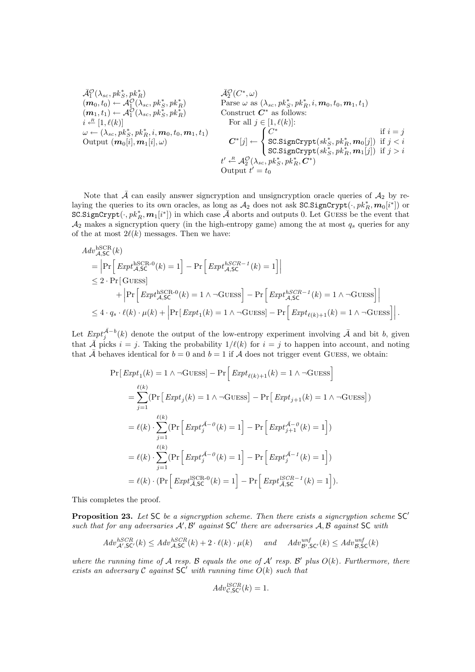$$
\bar{\mathcal{A}}_1^{\mathcal{O}}(\lambda_{sc},pk_S^*,pk_R^*)
$$
\n
$$
(m_0, t_0) \leftarrow \mathcal{A}_1^{\mathcal{O}}(\lambda_{sc},pk_S^*,pk_R^*)
$$
\n
$$
(m_1, t_1) \leftarrow \mathcal{A}_1^{\mathcal{O}}(\lambda_{sc},pk_S^*,pk_R^*)
$$
\n
$$
(m_1, t_1) \leftarrow \mathcal{A}_1^{\mathcal{O}}(\lambda_{sc},pk_S^*,pk_R^*)
$$
\n
$$
i \leftarrow [1, \ell(k)]
$$
\n
$$
\omega \leftarrow (\lambda_{sc},pk_S^*,pk_R^*, i, m_0, t_0, m_1, t_1)
$$
\n
$$
\omega \leftarrow (\lambda_{sc},pk_S^*,pk_R^*, i, m_0, t_0, m_1, t_1)
$$
\n
$$
(m_0[i], m_1[i], \omega)
$$
\n
$$
(m_0[i], m_1[i], \omega)
$$
\n
$$
(m_0[i], m_1[i], \omega)
$$
\n
$$
(m_0[i], m_1[i], \omega)
$$
\n
$$
(m_0[i], m_1[i], \omega)
$$
\n
$$
(m_0[i], m_1[i], \omega)
$$
\n
$$
(m_0[i], m_1[i], \omega)
$$
\n
$$
(m_0[i], m_1[i], \omega)
$$
\n
$$
(m_0[i], m_1[i], \omega)
$$
\n
$$
(m_0[i], m_1[i], \omega)
$$
\n
$$
(m_0[i], m_1[i], \omega)
$$
\n
$$
(m_0[i], m_1[i], \omega)
$$
\n
$$
(m_0[i], m_1[i], \omega)
$$
\n
$$
(m_0[i], m_1[i], \omega)
$$
\n
$$
(m_0[i], m_1[i], \omega)
$$
\n
$$
(m_0[i], m_1[i], \omega)
$$
\n
$$
(m_0[i], m_1[i], \omega)
$$
\n
$$
(m_0[i], m_1[i], \omega)
$$
\n
$$
(m_0[i], m_1[i], \omega)
$$
\n
$$
(m_0[i], m_1[i], \omega)
$$
\n
$$
(m_0[i], m_1[i], \omega)
$$
\n
$$
(m_0[i],
$$

Note that  $\bar{\mathcal{A}}$  can easily answer signcryption and unsigncryption oracle queries of  $\mathcal{A}_2$  by relaying the queries to its own oracles, as long as  $\mathcal{A}_2$  does not ask SC.SignCrypt $(\cdot, pk_R^*, \bm{m}_0[i^*])$  or  $\overrightarrow{SC}.SigmaCrypt(\cdot, pk_R^*, \boldsymbol{m}_1[i^*])$  in which case  $\overrightarrow{A}$  aborts and outputs 0. Let GUESS be the event that  $\mathcal{A}_2$  makes a signcryption query (in the high-entropy game) among the at most  $q_s$  queries for any of the at most  $2\ell(k)$  messages. Then we have:

$$
Adv_{A,SC}^{\text{hSCR}}(k)
$$
\n
$$
= \left| \Pr \left[ \operatorname{Expt}_{A,SC}^{\text{hSCR-0}}(k) = 1 \right] - \Pr \left[ \operatorname{Expt}_{A,SC}^{\text{hSCR-1}}(k) = 1 \right] \right|
$$
\n
$$
\leq 2 \cdot \Pr \left[ \text{GUESs} \right]
$$
\n
$$
+ \left| \Pr \left[ \operatorname{Expt}_{A,SC}^{\text{hSCR-0}}(k) = 1 \land \neg \text{GUESs} \right] - \Pr \left[ \operatorname{Expt}_{A,SC}^{\text{hSCR-1}}(k) = 1 \land \neg \text{GUESs} \right] \right|
$$
\n
$$
\leq 4 \cdot q_s \cdot \ell(k) \cdot \mu(k) + \left| \Pr \left[ \operatorname{Expt}_1(k) = 1 \land \neg \text{GUESs} \right] - \Pr \left[ \operatorname{Expt}_{\ell(k)+1}(k) = 1 \land \neg \text{GUESs} \right] \right|.
$$

Let  $\text{Exp}t_j^{\bar{\mathcal{A}}-b}(k)$  denote the output of the low-entropy experiment involving  $\bar{\mathcal{A}}$  and bit b, given that  $\overline{A}$  picks  $i = j$ . Taking the probability  $1/\ell(k)$  for  $i = j$  to happen into account, and noting that  $\overline{A}$  behaves identical for  $b = 0$  and  $b = 1$  if  $A$  does not trigger event GUESS, we obtain:

$$
\Pr[Expt_1(k) = 1 \land \neg \text{GUESs}] - \Pr\Big[Expt_{\ell(k)+1}(k) = 1 \land \neg \text{GUESs}\Big]
$$
  
\n
$$
= \sum_{j=1}^{\ell(k)} (\Pr\Big[Expt_j(k) = 1 \land \neg \text{GUESs}\Big] - \Pr\Big[Expt_{j+1}(k) = 1 \land \neg \text{GUESs}\Big])
$$
  
\n
$$
= \ell(k) \cdot \sum_{j=1}^{\ell(k)} (\Pr\Big[Expt_j^{\bar{A}-\theta}(k) = 1\Big] - \Pr\Big[Expt_{j+1}^{\bar{A}-\theta}(k) = 1\Big])
$$
  
\n
$$
= \ell(k) \cdot \sum_{j=1}^{\ell(k)} (\Pr\Big[Expt_j^{\bar{A}-\theta}(k) = 1\Big] - \Pr\Big[Expt_j^{\bar{A}-1}(k) = 1\Big])
$$
  
\n
$$
= \ell(k) \cdot (\Pr\Big[Expt_{\bar{A},SC}^{\text{ISCR-0}}(k) = 1\Big] - \Pr\Big[Expt_{\bar{A},SC}^{\text{ISCR-1}}(k) = 1\Big]).
$$

This completes the proof.

**Proposition 23.** Let SC be a signcryption scheme. Then there exists a signcryption scheme  $SC'$ such that for any adversaries  $A', B'$  against  $SC'$  there are adversaries  $A, B$  against SC with

$$
Adv_{\mathcal{A}',\mathsf{SC}'}^{hSCR}(k) \leq Adv_{\mathcal{A},\mathsf{SC}}^{hSCR}(k) + 2 \cdot \ell(k) \cdot \mu(k) \quad \text{and} \quad Adv_{\mathcal{B}',\mathsf{SC}'}^{unf}(k) \leq Adv_{\mathcal{B},\mathsf{SC}}^{unf}(k)
$$

where the running time of A resp. B equals the one of A' resp. B' plus  $O(k)$ . Furthermore, there exists an adversary C against  $SC'$  with running time  $O(k)$  such that

$$
Adv_{\mathcal{C},\mathsf{SC}}^{ISCR}(k) = 1.
$$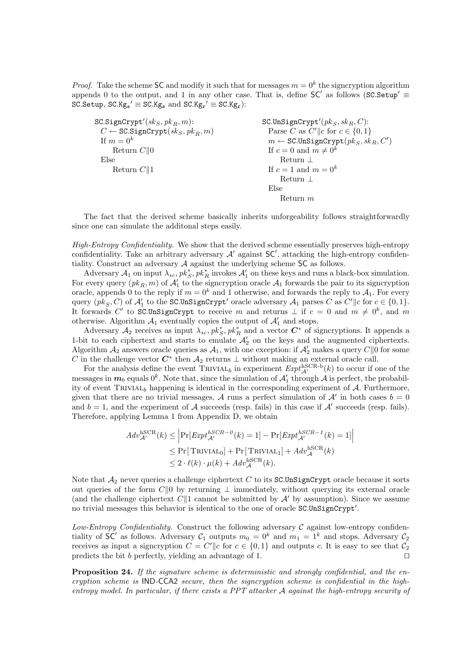*Proof.* Take the scheme SC and modify it such that for messages  $m = 0<sup>k</sup>$  the signcryption algorithm appends 0 to the output, and 1 in any other case. That is, define  $SC'$  as follows (SC.Setup'  $\equiv$  $SC.Setup, SC.Kg_s' \equiv SC.Kg_s \text{ and } SC.Kg_r' \equiv SC.Kg_r$ :

| SC.SignCrypt'( $sk_S, pk_B, m$ ):                 | SC.UnSignCrypt'( $pk_S, sk_B, C$ ):                    |
|---------------------------------------------------|--------------------------------------------------------|
| $C \leftarrow \text{SC.SignCrypt}(sk_S, pk_B, m)$ | Parse C as $C'$   c for $c \in \{0,1\}$                |
| If $m=0^k$                                        | $m \leftarrow \texttt{SC.UnSignCrypt}(pk_S, sk_R, C')$ |
| Return $C  0$                                     | If $c = 0$ and $m \neq 0^k$                            |
| Else                                              | Return $\perp$                                         |
| Return $C  1$                                     | If $c = 1$ and $m = 0^k$                               |
|                                                   | Return $\perp$                                         |
|                                                   | Else                                                   |
|                                                   | Return $m$                                             |

The fact that the derived scheme basically inherits unforgeability follows straightforwardly since one can simulate the additonal steps easily.

High-Entropy Confidentiality. We show that the derived scheme essentially preserves high-entropy confidentiality. Take an arbitrary adversary  $A'$  against  $SC'$ , attacking the high-entropy confidentiality. Construct an adversary A against the underlying scheme SC as follows.

Adversary  $A_1$  on input  $\lambda_{sc}$ ,  $pk_S^*$ ,  $pk_R^*$  invokes  $A'_1$  on these keys and runs a black-box simulation. For every query  $(pk_R, m)$  of  $\mathcal{A}'_1$  to the signcryption oracle  $\mathcal{A}_1$  forwards the pair to its signcryption oracle, appends 0 to the reply if  $m = 0^k$  and 1 otherwise, and forwards the reply to  $\mathcal{A}_1$ . For every query  $(pk_S, C)$  of  $\mathcal{A}'_1$  to the SC.UnSignCrypt' oracle adversary  $\mathcal{A}_1$  parses C as  $C' || c$  for  $c \in \{0, 1\}$ . It forwards C' to SC.UnSignCrypt to receive m and returns  $\perp$  if  $c = 0$  and  $m \neq 0^k$ , and m otherwise. Algorithm  $\mathcal{A}_1$  eventually copies the output of  $\mathcal{A}'_1$  and stops.

Adversary  $\mathcal{A}_2$  receives as input  $\lambda_{sc}$ ,  $pk_S^*$ ,  $pk_R^*$  and a vector  $C^*$  of signcryptions. It appends a 1-bit to each ciphertext and starts to emulate  $\mathcal{A}'_2$  on the keys and the augmented ciphertexts. Algorithm  $\mathcal{A}_2$  answers oracle queries as  $\mathcal{A}_1$ , with one exception: if  $\mathcal{A}'_2$  makes a query  $C||0$  for some C in the challenge vector  $C^*$  then  $\mathcal{A}_2$  returns  $\perp$  without making an external oracle call.

For the analysis define the event  $TRIVIAL_b$  in experiment  $Expt_{\mathcal{A}'}^{hSCR-b}(k)$  to occur if one of the messages in  $m_b$  equals  $0^k$ . Note that, since the simulation of  $\mathcal{A}'_1$  through  $\mathcal A$  is perfect, the probability of event TRIVIAL<sub>b</sub> happening is identical in the corresponding experiment of  $A$ . Furthermore, given that there are no trivial messages, A runs a perfect simulation of A' in both cases  $b = 0$ and  $b = 1$ , and the experiment of A succeeds (resp. fails) in this case if A' succeeds (resp. fails). Therefore, applying Lemma 1 from Appendix D, we obtain

$$
Adv_{\mathcal{A}'}^{\text{hSCR}}(k) \le \left| \Pr[Exp t_{\mathcal{A}'}^{\text{hSCR}-0}(k) = 1] - \Pr[Exp t_{\mathcal{A}'}^{\text{hSCR}-1}(k) = 1] \right|
$$
  
\n
$$
\le \Pr[TRIVIAL_0] + \Pr[TRIVIAL_1] + Adv_{\mathcal{A}}^{\text{hSCR}}(k)
$$
  
\n
$$
\le 2 \cdot \ell(k) \cdot \mu(k) + Adv_{\mathcal{A}}^{\text{hSCR}}(k).
$$

Note that  $A_2$  never queries a challenge ciphertext C to its SC.UnSignCrypt oracle because it sorts out queries of the form C||0 by returning  $\perp$  immediately, without querying its external oracle (and the challenge ciphertext  $C\|1$  cannot be submitted by  $\mathcal{A}'$  by assumption). Since we assume no trivial messages this behavior is identical to the one of oracle SC.UnSignCrypt'.

Low-Entropy Confidentiality. Construct the following adversary  $\mathcal C$  against low-entropy confidentiality of SC' as follows. Adversary  $C_1$  outputs  $m_0 = 0^k$  and  $m_1 = 1^k$  and stops. Adversary  $C_2$ receives as input a signcryption  $C = C' || c$  for  $c \in \{0, 1\}$  and outputs c. It is easy to see that  $C_2$ predicts the bit b perfectly, yielding an advantage of 1.  $\Box$ 

Proposition 24. If the signature scheme is deterministic and strongly confidential, and the encryption scheme is IND-CCA2 secure, then the signcryption scheme is confidential in the highentropy model. In particular, if there exists a PPT attacker A against the high-entropy security of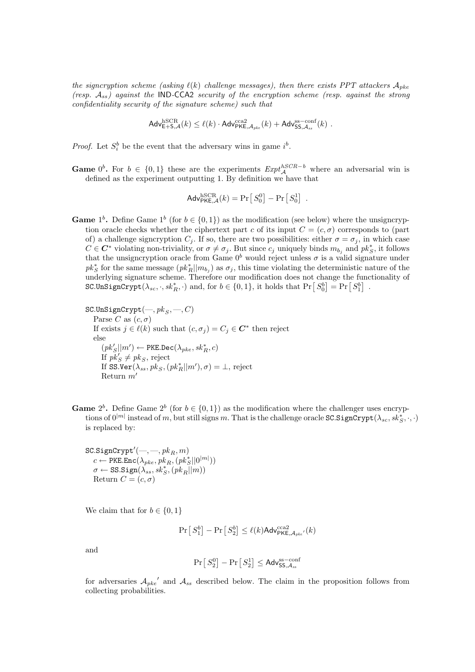the signcryption scheme (asking  $\ell(k)$  challenge messages), then there exists PPT attackers  $A_{pke}$ (resp.  $A_{ss}$ ) against the IND-CCA2 security of the encryption scheme (resp. against the strong confidentiality security of the signature scheme) such that

 $\mathsf{Adv}_{\mathsf{E}+\mathsf{S},\mathcal{A}}^{\mathrm{hSCR}}(k) \leq \ell(k) \cdot \mathsf{Adv}_{\mathsf{PKE},\mathcal{A}_{pke}}^{\mathrm{cca2}}(k) + \mathsf{Adv}_{\mathsf{SS},\mathcal{A}_{ss}}^{\mathrm{ss-conf}}(k) \;.$ 

*Proof.* Let  $S_i^b$  be the event that the adversary wins in game  $i^b$ .

**Game**  $0^b$ . For  $b \in \{0,1\}$  these are the experiments  $Exp<sup>t</sup><sub>A</sub>^{hSCR-b}$  where an adversarial win is defined as the experiment outputting 1. By definition we have that

$$
\mathsf{Adv}_{\mathsf{PKE},\mathcal{A}}^{\mathrm{hSCR}}(k) = \Pr\left[\,S_0^0\right] - \Pr\left[\,S_0^1\right] \; .
$$

**Game**  $1^b$ . Define Game  $1^b$  (for  $b \in \{0, 1\}$ ) as the modification (see below) where the unsigncryption oracle checks whether the ciphertext part c of its input  $C = (c, \sigma)$  corresponds to (part of) a challenge signcryption  $C_j$ . If so, there are two possibilities: either  $\sigma = \sigma_j$ , in which case  $C \in \mathbb{C}^*$  violating non-triviality, or  $\sigma \neq \sigma_j$ . But since  $c_j$  uniquely binds  $m_{b_j}$  and  $pk_S^*$ , it follows that the unsigncryption oracle from Game  $0^b$  would reject unless  $\sigma$  is a valid signature under  $pk_S^*$  for the same message  $(pk_R^*||m_{b_j})$  as  $\sigma_j$ , this time violating the deterministic nature of the underlying signature scheme. Therefore our modification does not change the functionality of underlying signature scheme. I herefore our modification does not change the function  $SCJnSignCrypt(\lambda_{sc}, \cdot, sk_R^*, \cdot)$  and, for  $b \in \{0, 1\}$ , it holds that  $Pr\left[S_0^b\right] = Pr\left[S_1^b\right]$ .

SC.UnSignCrypt(
$$
-
$$
,  $pk_S$ ,  $-$ ,  $C$ )  
\nParse  $C$  as  $(c, \sigma)$   
\nIf exists  $j \in \ell(k)$  such that  $(c, \sigma_j) = C_j \in C^*$  then reject  
\nelse  
\n $(pk'_S||m') \leftarrow \text{PKE.Dec}(\lambda_{pke}, sk_R^*, c)$   
\nIf  $pk'_S \neq pk_S$ , reject  
\nIf SS.Ver( $\lambda_{ss}$ ,  $pk_S$ ,  $(pk_R^*||m')$ ,  $\sigma$ ) =  $\bot$ , reject  
\nReturn  $m'$ 

**Game**  $2^b$ . Define Game  $2^b$  (for  $b \in \{0, 1\}$ ) as the modification where the challenger uses encryptions of  $0^{|m|}$  instead of m, but still signs m. That is the challenge oracle SC.SignCrypt $(\lambda_{sc}, sk_S^*, \cdot, \cdot)$ is replaced by:

 $\texttt{SC.SignCrypt}\xspace'(\textcolor{red}{\boldsymbol{-},\textcolor{red}{\boldsymbol{-}}}, \textcolor{red}{pk_R}, \textcolor{red}{m})$  $c \leftarrow \texttt{PKE}.\texttt{Enc}(\lambda_{pke}, pk_R, (pk_S^* || 0^{|m|}))$  $\sigma \leftarrow \mathtt{SS}. \mathtt{Sign}(\lambda_{ss}, \mathit{sk}^*_{S}, ( \mathit{pk}_R || m ) )$ Return  $C = (c, \sigma)$ 

We claim that for  $b \in \{0, 1\}$ 

$$
\Pr\left[\,S_1^b\right] - \Pr\left[\,S_2^b\right] \le \ell(k) \text{Adv}_{\mathsf{PKE}, \mathcal{A}_{pke'}}^{\text{cca2}}(k)
$$

and

$$
\Pr\left[\,S^0_2\right] - \Pr\left[\,S^1_2\right] \leq \mathsf{Adv}_{\mathsf{SS},\mathcal{A}_{ss}}^{\mathrm{ss}-\mathrm{conf}}
$$

for adversaries  $A_{pke}$  and  $A_{ss}$  described below. The claim in the proposition follows from collecting probabilities.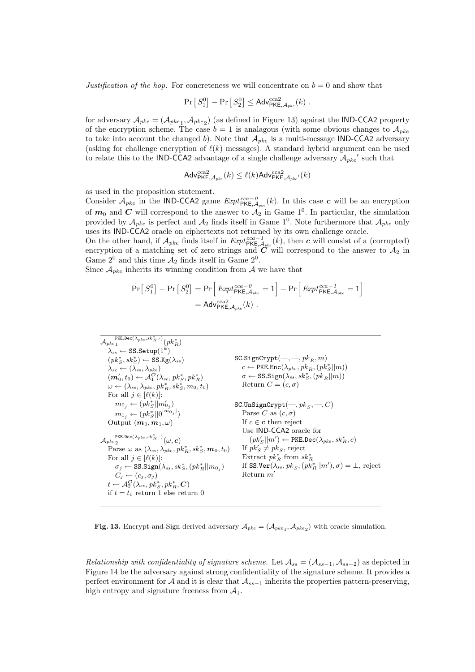Justification of the hop. For concreteness we will concentrate on  $b = 0$  and show that

$$
\Pr[S_1^0] - \Pr[S_2^0] \leq \mathsf{Adv}_{\mathsf{PKE}, \mathcal{A}_{\mathit{pke}}}^{\mathit{cca2}}(k) \ .
$$

for adversary  $A_{pke} = (A_{pke_1}, A_{pke_2})$  (as defined in Figure 13) against the IND-CCA2 property of the encryption scheme. The case  $b = 1$  is analagous (with some obvious changes to  $\mathcal{A}_{pke}$ to take into account the changed b). Note that  $A_{pke}$  is a multi-message IND-CCA2 adversary (asking for challenge encryption of  $\ell(k)$  messages). A standard hybrid argument can be used to relate this to the IND-CCA2 advantage of a single challenge adversary  $A_{pke}$ ' such that

$$
\mathsf{Adv}_{\mathsf{PKE},\mathcal{A}_{pke}}^{\text{cca2}}(k) \leq \ell(k) \mathsf{Adv}_{\mathsf{PKE},\mathcal{A}_{pke'}}^{\text{cca2}}(k)
$$

as used in the proposition statement.

Consider  $\mathcal{A}_{pke}$  in the IND-CCA2 game  $Expt_{\text{PKE},\mathcal{A}_{pke}}^{cca-0}(k)$ . In this case c will be an encryption of  $m_0$  and C will correspond to the answer to  $A_2$  in Game 1<sup>0</sup>. In particular, the simulation provided by  $\mathcal{A}_{pke}$  is perfect and  $\mathcal{A}_2$  finds itself in Game 1<sup>0</sup>. Note furthermore that  $\mathcal{A}_{pke}$  only uses its IND-CCA2 oracle on ciphertexts not returned by its own challenge oracle.

On the other hand, if  $\mathcal{A}_{pke}$  finds itself in  $Expt_{\text{PKE},\mathcal{A}_{pke}}^{cca-1}(k)$ , then c will consist of a (corrupted) encryption of a matching set of zero strings and  $C$  will correspond to the answer to  $\mathcal{A}_2$  in Game  $2^0$  and this time  $\mathcal{A}_2$  finds itself in Game  $2^0$ .

Since  $A_{pke}$  inherits its winning condition from A we have that

$$
\Pr[S_1^0] - \Pr[S_2^0] = \Pr\left[\text{Expt}_{\text{PKE}, A_{pke}}^{\text{cca} - 0} = 1\right] - \Pr\left[\text{Expt}_{\text{PKE}, A_{pke}}^{\text{cca} - 1} = 1\right]
$$

$$
= \text{Adv}_{\text{PKE}, A_{pke}}^{\text{cca} - 0}(k) .
$$

| $_{p_{k}}$                                                                  | $\frac{p_{k}}{P_{k}}$                                             |     |     |
|-----------------------------------------------------------------------------|-------------------------------------------------------------------|-----|-----|
| $\lambda_{ss} \leftarrow SS$ .Setup(1 <sup>k</sup> )                        | SC.SignCrypt(-, -, pk_R, m)                                       |     |     |
| $\lambda_{sc} \leftarrow (\lambda_{ss}, \lambda_{pke})$                     | SC.SignCrypt(-, -, pk_R, m)                                       |     |     |
| $\lambda_{sc} \leftarrow (\lambda_{ss}, \lambda_{pke})$                     | c $\leftarrow P_{k}$ .Enc( $\lambda_{pke}, pk_R, (pk_S^*  m)$ )   |     |     |
| $(m'_0, t_0) \leftarrow A_1^O(\lambda_{sc}, pk_S^*, pk_R^*)$                | $\sigma \leftarrow SS$ .Sign( $\lambda_{ss}, sk_S^*, (pk_R  m)$ ) |     |     |
| $\omega \leftarrow (\lambda_{ss}, \lambda_{pke}, pk_R^*, sk_S^*, m_0, t_0)$ | Returns $C = (c, \sigma)$                                         |     |     |
| For all $j \in [\ell(k)]$ :                                                 | SC.UnSignCrypt(-, pk_S, -, C)                                     |     |     |
| $m_{1j} \leftarrow (pk_S^*  0^{1m_{0j}})\$                                  | SPISE C as $(c, \sigma)$                                          |     |     |
| $\lambda_{pke_2}$                                                           | 2C. UnSignCrypt(-, pk_S, -, C)                                    |     |     |
| $m_{1j} \leftarrow (pk_S^*  0^{1m_{0j}})\$                                  | 9C. UnSignCrypt(-, pk_S, -, C)                                    |     |     |
| $\lambda_{pke_2}$                                                           | 10C                                                               | 11C | 12C |
| $\lambda_{pke_2}$                                                           | 13C                                                               | 14C |     |
| $\lambda_{pke_2}$                                                           | 15C                                                               | 16C |     |
| $\lambda_{pke_2}$                                                           | 17C                                                               | 18C |     |
| $\lambda_{pke_$                                                             |                                                                   |     |     |

Fig. 13. Encrypt-and-Sign derived adversary  $A_{pke} = (A_{pke_1}, A_{pke_2})$  with oracle simulation.

Relationship with confidentiality of signature scheme. Let  $A_{ss} = (A_{ss-1}, A_{ss-2})$  as depicted in Figure 14 be the adversary against strong confidentiality of the signature scheme. It provides a perfect environment for A and it is clear that  $A_{ss-1}$  inherits the properties pattern-preserving, high entropy and signature freeness from  $A_1$ .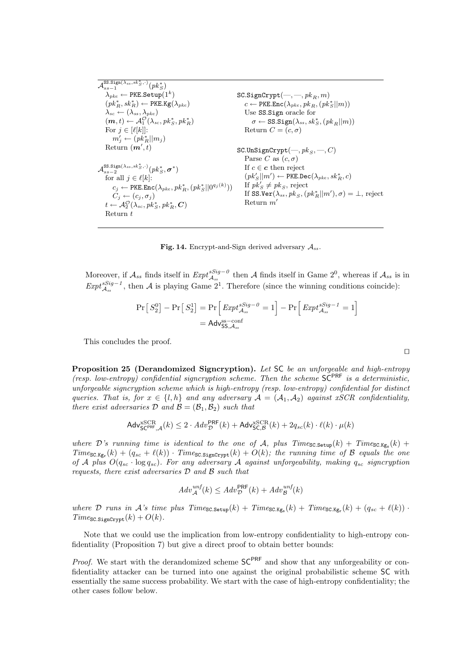| $\mathcal{A}_{ss-1}^{\text{SS.Sign}(\overline{\lambda_{ss},sk_S^*},\cdot)}(pk_{\sigma}^*)$              |                                                                                                                     |
|---------------------------------------------------------------------------------------------------------|---------------------------------------------------------------------------------------------------------------------|
|                                                                                                         |                                                                                                                     |
| $\lambda_{nke} \leftarrow \text{PKE}.\text{Setup}(1^k)$                                                 | $SC.SignCrypt(-, \text{---}, pk_B, m)$                                                                              |
| $(pk_B^*, sk_B^*) \leftarrow \text{PKE.Kg}(\lambda_{nke})$                                              | $c \leftarrow \text{PKE}.\text{Enc}(\lambda_{nke}, p k_{B}, (p k_{S}^{*}  m))$                                      |
| $\lambda_{sc} \leftarrow (\lambda_{ss}, \lambda_{pke})$                                                 | Use SS. Sign oracle for                                                                                             |
| $(m, t) \leftarrow \mathcal{A}_1^{\mathcal{O}}(\lambda_{sc}, p k_{\mathcal{S}}^*, p k_{\mathcal{B}}^*)$ | $\sigma \leftarrow$ SS.Sign( $\lambda_{ss}$ , sk <sup>*</sup> s, (pk <sub>B</sub>   m))                             |
| For $i \in [\ell[k]]$ :                                                                                 | Return $C = (c, \sigma)$                                                                                            |
| $m'_j \leftarrow (pk_R^*  m_j)$                                                                         |                                                                                                                     |
| Return $(m',t)$                                                                                         | $SC.UnSignCrypt(-, pks, -, C)$                                                                                      |
|                                                                                                         | Parse C as $(c, \sigma)$                                                                                            |
| $\mathcal{A}^{\text{SS.Sign}(\lambda_{ss},sk_S^*,\cdot)}_{\text{new}}(pk_S^*,\boldsymbol{\sigma}^*)$    | If $c \in \mathbf{c}$ then reject                                                                                   |
| for all $j \in \ell[k]$ :                                                                               | $(pk'_{S}  m') \leftarrow \text{PKE.Dec}(\lambda_{nke}, sk^{*}_{B}, c)$                                             |
| $c_j \leftarrow \texttt{PKE}.\texttt{Enc}(\lambda_{pke}, pk_R^*, (pk_S^*  0^{q_j(k)}))$                 | If $pk'_{s} \neq pk_{s}$ , reject                                                                                   |
| $C_i \leftarrow (c_i, \sigma_i)$                                                                        | If SS.Ver $(\lambda_{ss}, \, pk_{\scriptscriptstyle S}, (pk^*_{\scriptscriptstyle B}  m'), \sigma) = \bot$ , reject |
| $t \leftarrow \mathcal{A}_2^{\mathcal{O}}(\lambda_{sc}, p k_{S}^*, p k_{B}^*, C)$                       | Return $m'$                                                                                                         |
| Return t                                                                                                |                                                                                                                     |

Fig. 14. Encrypt-and-Sign derived adversary  $A_{ss}$ .

Moreover, if  $\mathcal{A}_{ss}$  finds itself in  $Expt_{\mathcal{A}_{ss}}^{Sig-0}$  then A finds itself in Game  $2^0$ , whereas if  $\mathcal{A}_{ss}$  is in  $Expt_{\mathcal{A}_{ss}}^{Sig-1}$ , then A is playing Game 2<sup>1</sup>. Therefore (since the winning conditions coincide):

$$
\Pr[S_2^0] - \Pr[S_2^1] = \Pr\left[\text{Expt}_{\mathcal{A}_{ss}}^{sSig - 0} = 1\right] - \Pr\left[\text{Expt}_{\mathcal{A}_{ss}}^{sSig - 1} = 1\right]
$$

$$
= \text{Adv}_{\text{SS},\mathcal{A}_{ss}}^{ss - \text{conf}}
$$

This concludes the proof.

Proposition 25 (Derandomized Signcryption). Let SC be an unforgeable and high-entropy (resp. low-entropy) confidential signcryption scheme. Then the scheme  $SC^{PRF}$  is a deterministic, unforgeable signcryption scheme which is high-entropy (resp. low-entropy) confidential for distinct queries. That is, for  $x \in \{l, h\}$  and any adversary  $\mathcal{A} = (\mathcal{A}_1, \mathcal{A}_2)$  against xSCR confidentiality, there exist adversaries D and  $\mathcal{B} = (\mathcal{B}_1, \mathcal{B}_2)$  such that

$$
\mathsf{Adv}_{\mathsf{SC}^{\mathsf{PRF}},\mathcal{A}}^{\mathsf{xSCR}}(k) \leq 2 \cdot \mathsf{Adv}_{\mathcal{D}}^{\mathsf{PRF}}(k) + \mathsf{Adv}_{\mathsf{SC},\mathcal{B}}^{\mathsf{xSCR}}(k) + 2q_{sc}(k) \cdot \ell(k) \cdot \mu(k)
$$

where D's running time is identical to the one of A, plus  $Time_{SC.Setup}(k) + Time_{SC.Kg_s}(k) +$  $Time_{SC.Kg_r}(k) + (q_{sc} + \ell(k)) \cdot Time_{SC.SignCrypt}(k) + O(k);$  the running time of B equals the one of A plus  $O(q_{sc} \cdot \log q_{sc})$ . For any adversary A against unforgeability, making  $q_{sc}$  signcryption requests, there exist adversaries D and B such that

$$
Adv_{\mathcal{A}}^{unf}(k) \leq Adv_{\mathcal{D}}^{\mathsf{PRF}}(k) + Adv_{\mathcal{B}}^{unf}(k)
$$

where D runs in A's time plus  $Time_{SC.Setup}(k) + Time_{SC.Kg_s}(k) + Time_{SC.Kg_r}(k) + (q_{sc} + \ell(k))$ .  $Time_{SC.SignCrypt}(k) + O(k).$ 

Note that we could use the implication from low-entropy confidentiality to high-entropy confidentiality (Proposition 7) but give a direct proof to obtain better bounds:

*Proof.* We start with the derandomized scheme  $SC^{PRF}$  and show that any unforgeability or confidentiality attacker can be turned into one against the original probabilistic scheme SC with essentially the same success probability. We start with the case of high-entropy confidentiality; the other cases follow below.

 $\Box$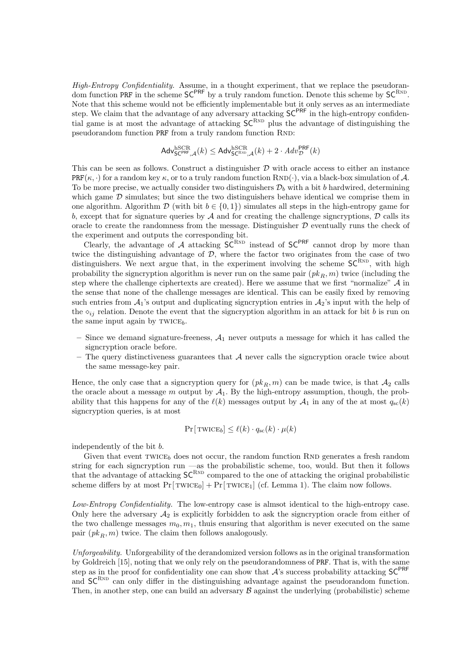High-Entropy Confidentiality. Assume, in a thought experiment, that we replace the pseudorandom function PRF in the scheme  $SC^{PRF}$  by a truly random function. Denote this scheme by  $SC^{RND}$ . Note that this scheme would not be efficiently implementable but it only serves as an intermediate step. We claim that the advantage of any adversary attacking  $SC^{PRF}$  in the high-entropy confidential game is at most the advantage of attacking  $SC^{RND}$  plus the advantage of distinguishing the pseudorandom function PRF from a truly random function RND:

$$
\mathsf{Adv}_{\mathsf{SC}^{\mathsf{PRF}}, \mathcal{A}}^{\mathrm{hSCR}}(k) \leq \mathsf{Adv}_{\mathsf{SC}^{\mathsf{RND}}, \mathcal{A}}^{\mathrm{hSCR}}(k) + 2 \cdot \mathsf{Adv}_{\mathcal{D}}^{\mathsf{PRF}}(k)
$$

This can be seen as follows. Construct a distinguisher  $D$  with oracle access to either an instance  $PRF(\kappa, \cdot)$  for a random key  $\kappa$ , or to a truly random function RND( $\cdot$ ), via a black-box simulation of A. To be more precise, we actually consider two distinguishers  $\mathcal{D}_b$  with a bit b hardwired, determining which game  $D$  simulates; but since the two distinguishers behave identical we comprise them in one algorithm. Algorithm  $\mathcal{D}$  (with bit  $b \in \{0, 1\}$ ) simulates all steps in the high-entropy game for b, except that for signature queries by  $A$  and for creating the challenge signcryptions,  $D$  calls its oracle to create the randomness from the message. Distinguisher  $D$  eventually runs the check of the experiment and outputs the corresponding bit.

Clearly, the advantage of  $A$  attacking  $SC^{RND}$  instead of  $SC^{PRF}$  cannot drop by more than twice the distinguishing advantage of  $\mathcal{D}$ , where the factor two originates from the case of two distinguishers. We next argue that, in the experiment involving the scheme  $SC^{RND}$ , with high probability the signcryption algorithm is never run on the same pair  $(pk_R, m)$  twice (including the step where the challenge ciphertexts are created). Here we assume that we first "normalize" A in the sense that none of the challenge messages are identical. This can be easily fixed by removing such entries from  $\mathcal{A}_1$ 's output and duplicating signcryption entries in  $\mathcal{A}_2$ 's input with the help of the  $\delta_{ij}$  relation. Denote the event that the signcryption algorithm in an attack for bit b is run on the same input again by  $TWICE<sub>b</sub>$ .

- Since we demand signature-freeness,  $A_1$  never outputs a message for which it has called the signcryption oracle before.
- The query distinctiveness guarantees that  $A$  never calls the signcryption oracle twice about the same message-key pair.

Hence, the only case that a signcryption query for  $(pk_R, m)$  can be made twice, is that  $A_2$  calls the oracle about a message m output by  $A_1$ . By the high-entropy assumption, though, the probability that this happens for any of the  $\ell(k)$  messages output by  $\mathcal{A}_1$  in any of the at most  $q_{sc}(k)$ signcryption queries, is at most

$$
\Pr[\text{TWICE}_b] \le \ell(k) \cdot q_{\text{sc}}(k) \cdot \mu(k)
$$

independently of the bit b.

Given that event  $\text{TWICE}_b$  does not occur, the random function RND generates a fresh random string for each signcryption run —as the probabilistic scheme, too, would. But then it follows that the advantage of attacking  $SC^{RND}$  compared to the one of attacking the original probabilistic scheme differs by at most  $Pr[\text{TWICE}_0] + Pr[\text{TWICE}_1]$  (cf. Lemma 1). The claim now follows.

Low-Entropy Confidentiality. The low-entropy case is almsot identical to the high-entropy case. Only here the adversary  $\mathcal{A}_2$  is explicitly forbidden to ask the signcryption oracle from either of the two challenge messages  $m_0, m_1$ , thuis ensuring that algorithm is never executed on the same pair  $(pk_B, m)$  twice. The claim then follows analogously.

Unforgeability. Unforgeability of the derandomized version follows as in the original transformation by Goldreich [15], noting that we only rely on the pseudorandomness of PRF. That is, with the same step as in the proof for confidentiality one can show that  $A$ 's success probability attacking  $SC^{PRF}$ and  $SC^{RND}$  can only differ in the distinguishing advantage against the pseudorandom function. Then, in another step, one can build an adversary  $\beta$  against the underlying (probabilistic) scheme